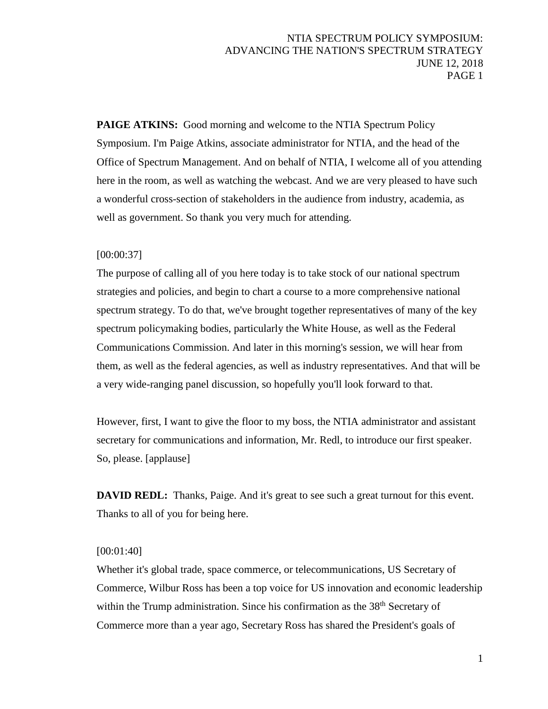**PAIGE ATKINS:** Good morning and welcome to the NTIA Spectrum Policy Symposium. I'm Paige Atkins, associate administrator for NTIA, and the head of the Office of Spectrum Management. And on behalf of NTIA, I welcome all of you attending here in the room, as well as watching the webcast. And we are very pleased to have such a wonderful cross-section of stakeholders in the audience from industry, academia, as well as government. So thank you very much for attending.

### [00:00:37]

The purpose of calling all of you here today is to take stock of our national spectrum strategies and policies, and begin to chart a course to a more comprehensive national spectrum strategy. To do that, we've brought together representatives of many of the key spectrum policymaking bodies, particularly the White House, as well as the Federal Communications Commission. And later in this morning's session, we will hear from them, as well as the federal agencies, as well as industry representatives. And that will be a very wide-ranging panel discussion, so hopefully you'll look forward to that.

However, first, I want to give the floor to my boss, the NTIA administrator and assistant secretary for communications and information, Mr. Redl, to introduce our first speaker. So, please. [applause]

**DAVID REDL:** Thanks, Paige. And it's great to see such a great turnout for this event. Thanks to all of you for being here.

### [00:01:40]

Whether it's global trade, space commerce, or telecommunications, US Secretary of Commerce, Wilbur Ross has been a top voice for US innovation and economic leadership within the Trump administration. Since his confirmation as the 38<sup>th</sup> Secretary of Commerce more than a year ago, Secretary Ross has shared the President's goals of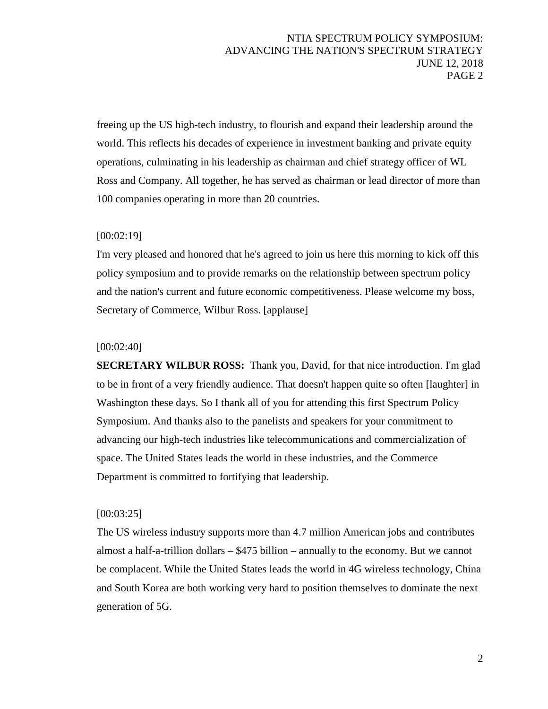freeing up the US high-tech industry, to flourish and expand their leadership around the world. This reflects his decades of experience in investment banking and private equity operations, culminating in his leadership as chairman and chief strategy officer of WL Ross and Company. All together, he has served as chairman or lead director of more than 100 companies operating in more than 20 countries.

### [00:02:19]

I'm very pleased and honored that he's agreed to join us here this morning to kick off this policy symposium and to provide remarks on the relationship between spectrum policy and the nation's current and future economic competitiveness. Please welcome my boss, Secretary of Commerce, Wilbur Ross. [applause]

### [00:02:40]

**SECRETARY WILBUR ROSS:** Thank you, David, for that nice introduction. I'm glad to be in front of a very friendly audience. That doesn't happen quite so often [laughter] in Washington these days. So I thank all of you for attending this first Spectrum Policy Symposium. And thanks also to the panelists and speakers for your commitment to advancing our high-tech industries like telecommunications and commercialization of space. The United States leads the world in these industries, and the Commerce Department is committed to fortifying that leadership.

### [00:03:25]

The US wireless industry supports more than 4.7 million American jobs and contributes almost a half-a-trillion dollars – \$475 billion – annually to the economy. But we cannot be complacent. While the United States leads the world in 4G wireless technology, China and South Korea are both working very hard to position themselves to dominate the next generation of 5G.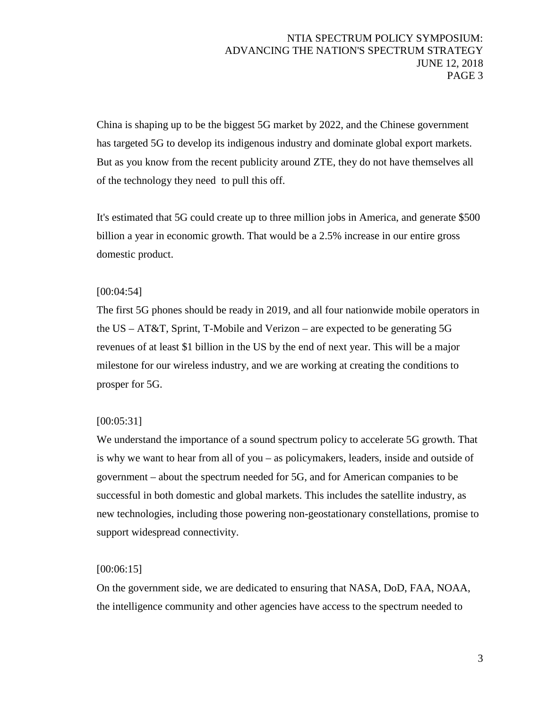China is shaping up to be the biggest 5G market by 2022, and the Chinese government has targeted 5G to develop its indigenous industry and dominate global export markets. But as you know from the recent publicity around ZTE, they do not have themselves all of the technology they need to pull this off.

It's estimated that 5G could create up to three million jobs in America, and generate \$500 billion a year in economic growth. That would be a 2.5% increase in our entire gross domestic product.

# [00:04:54]

The first 5G phones should be ready in 2019, and all four nationwide mobile operators in the US – AT&T, Sprint, T-Mobile and Verizon – are expected to be generating 5G revenues of at least \$1 billion in the US by the end of next year. This will be a major milestone for our wireless industry, and we are working at creating the conditions to prosper for 5G.

# [00:05:31]

We understand the importance of a sound spectrum policy to accelerate 5G growth. That is why we want to hear from all of you – as policymakers, leaders, inside and outside of government – about the spectrum needed for 5G, and for American companies to be successful in both domestic and global markets. This includes the satellite industry, as new technologies, including those powering non-geostationary constellations, promise to support widespread connectivity.

# [00:06:15]

On the government side, we are dedicated to ensuring that NASA, DoD, FAA, NOAA, the intelligence community and other agencies have access to the spectrum needed to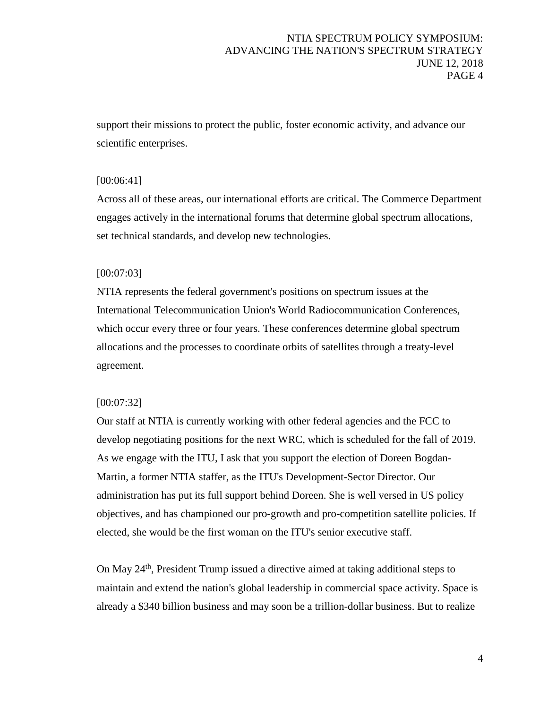support their missions to protect the public, foster economic activity, and advance our scientific enterprises.

### [00:06:41]

Across all of these areas, our international efforts are critical. The Commerce Department engages actively in the international forums that determine global spectrum allocations, set technical standards, and develop new technologies.

### [00:07:03]

NTIA represents the federal government's positions on spectrum issues at the International Telecommunication Union's World Radiocommunication Conferences, which occur every three or four years. These conferences determine global spectrum allocations and the processes to coordinate orbits of satellites through a treaty-level agreement.

### [00:07:32]

Our staff at NTIA is currently working with other federal agencies and the FCC to develop negotiating positions for the next WRC, which is scheduled for the fall of 2019. As we engage with the ITU, I ask that you support the election of Doreen Bogdan-Martin, a former NTIA staffer, as the ITU's Development-Sector Director. Our administration has put its full support behind Doreen. She is well versed in US policy objectives, and has championed our pro-growth and pro-competition satellite policies. If elected, she would be the first woman on the ITU's senior executive staff.

On May 24th, President Trump issued a directive aimed at taking additional steps to maintain and extend the nation's global leadership in commercial space activity. Space is already a \$340 billion business and may soon be a trillion-dollar business. But to realize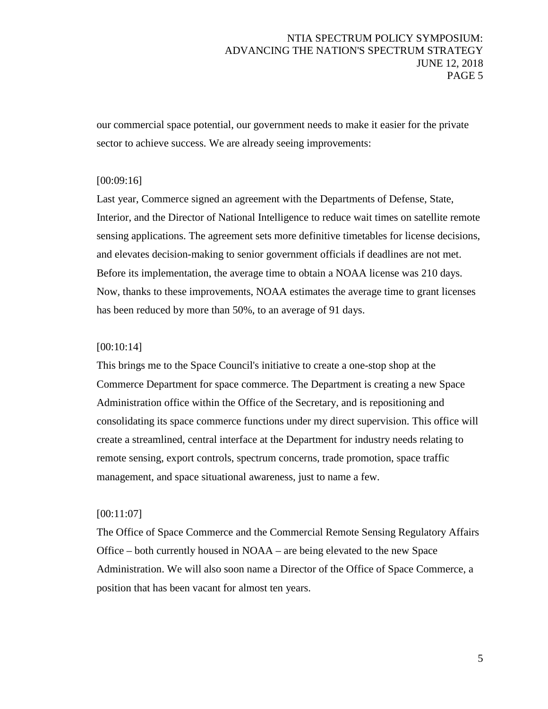our commercial space potential, our government needs to make it easier for the private sector to achieve success. We are already seeing improvements:

### [00:09:16]

Last year, Commerce signed an agreement with the Departments of Defense, State, Interior, and the Director of National Intelligence to reduce wait times on satellite remote sensing applications. The agreement sets more definitive timetables for license decisions, and elevates decision-making to senior government officials if deadlines are not met. Before its implementation, the average time to obtain a NOAA license was 210 days. Now, thanks to these improvements, NOAA estimates the average time to grant licenses has been reduced by more than 50%, to an average of 91 days.

### [00:10:14]

This brings me to the Space Council's initiative to create a one-stop shop at the Commerce Department for space commerce. The Department is creating a new Space Administration office within the Office of the Secretary, and is repositioning and consolidating its space commerce functions under my direct supervision. This office will create a streamlined, central interface at the Department for industry needs relating to remote sensing, export controls, spectrum concerns, trade promotion, space traffic management, and space situational awareness, just to name a few.

#### [00:11:07]

The Office of Space Commerce and the Commercial Remote Sensing Regulatory Affairs Office – both currently housed in NOAA – are being elevated to the new Space Administration. We will also soon name a Director of the Office of Space Commerce, a position that has been vacant for almost ten years.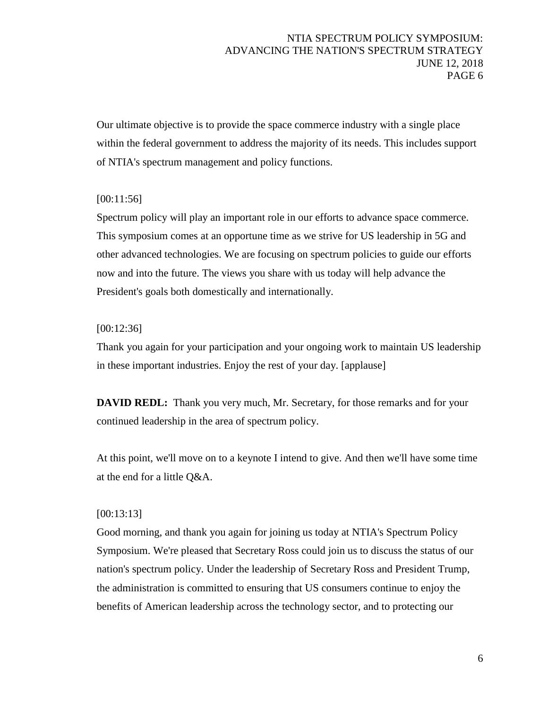Our ultimate objective is to provide the space commerce industry with a single place within the federal government to address the majority of its needs. This includes support of NTIA's spectrum management and policy functions.

### [00:11:56]

Spectrum policy will play an important role in our efforts to advance space commerce. This symposium comes at an opportune time as we strive for US leadership in 5G and other advanced technologies. We are focusing on spectrum policies to guide our efforts now and into the future. The views you share with us today will help advance the President's goals both domestically and internationally.

### [00:12:36]

Thank you again for your participation and your ongoing work to maintain US leadership in these important industries. Enjoy the rest of your day. [applause]

**DAVID REDL:** Thank you very much, Mr. Secretary, for those remarks and for your continued leadership in the area of spectrum policy.

At this point, we'll move on to a keynote I intend to give. And then we'll have some time at the end for a little Q&A.

### [00:13:13]

Good morning, and thank you again for joining us today at NTIA's Spectrum Policy Symposium. We're pleased that Secretary Ross could join us to discuss the status of our nation's spectrum policy. Under the leadership of Secretary Ross and President Trump, the administration is committed to ensuring that US consumers continue to enjoy the benefits of American leadership across the technology sector, and to protecting our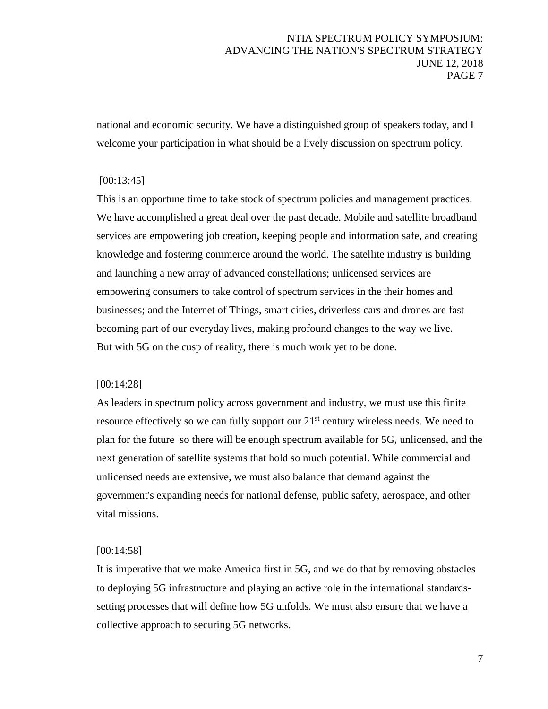national and economic security. We have a distinguished group of speakers today, and I welcome your participation in what should be a lively discussion on spectrum policy.

# [00:13:45]

This is an opportune time to take stock of spectrum policies and management practices. We have accomplished a great deal over the past decade. Mobile and satellite broadband services are empowering job creation, keeping people and information safe, and creating knowledge and fostering commerce around the world. The satellite industry is building and launching a new array of advanced constellations; unlicensed services are empowering consumers to take control of spectrum services in the their homes and businesses; and the Internet of Things, smart cities, driverless cars and drones are fast becoming part of our everyday lives, making profound changes to the way we live. But with 5G on the cusp of reality, there is much work yet to be done.

### [00:14:28]

As leaders in spectrum policy across government and industry, we must use this finite resource effectively so we can fully support our 21<sup>st</sup> century wireless needs. We need to plan for the future so there will be enough spectrum available for 5G, unlicensed, and the next generation of satellite systems that hold so much potential. While commercial and unlicensed needs are extensive, we must also balance that demand against the government's expanding needs for national defense, public safety, aerospace, and other vital missions.

### [00:14:58]

It is imperative that we make America first in 5G, and we do that by removing obstacles to deploying 5G infrastructure and playing an active role in the international standardssetting processes that will define how 5G unfolds. We must also ensure that we have a collective approach to securing 5G networks.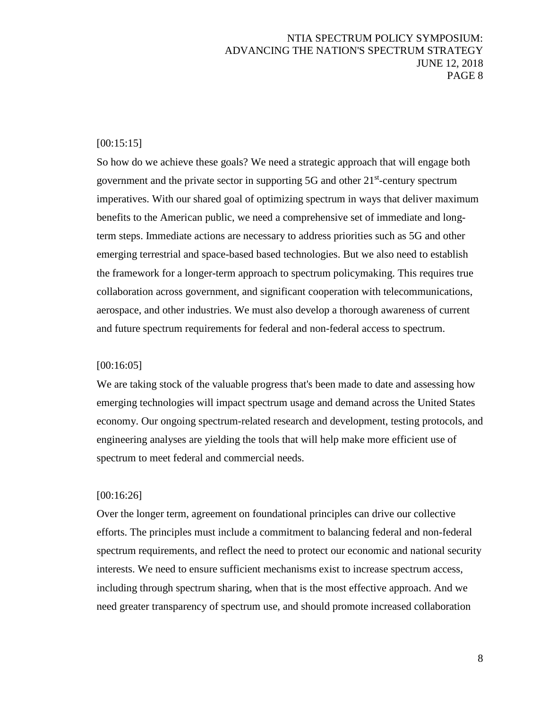### [00:15:15]

So how do we achieve these goals? We need a strategic approach that will engage both government and the private sector in supporting  $5G$  and other  $21<sup>st</sup>$ -century spectrum imperatives. With our shared goal of optimizing spectrum in ways that deliver maximum benefits to the American public, we need a comprehensive set of immediate and longterm steps. Immediate actions are necessary to address priorities such as 5G and other emerging terrestrial and space-based based technologies. But we also need to establish the framework for a longer-term approach to spectrum policymaking. This requires true collaboration across government, and significant cooperation with telecommunications, aerospace, and other industries. We must also develop a thorough awareness of current and future spectrum requirements for federal and non-federal access to spectrum.

#### [00:16:05]

We are taking stock of the valuable progress that's been made to date and assessing how emerging technologies will impact spectrum usage and demand across the United States economy. Our ongoing spectrum-related research and development, testing protocols, and engineering analyses are yielding the tools that will help make more efficient use of spectrum to meet federal and commercial needs.

#### [00:16:26]

Over the longer term, agreement on foundational principles can drive our collective efforts. The principles must include a commitment to balancing federal and non-federal spectrum requirements, and reflect the need to protect our economic and national security interests. We need to ensure sufficient mechanisms exist to increase spectrum access, including through spectrum sharing, when that is the most effective approach. And we need greater transparency of spectrum use, and should promote increased collaboration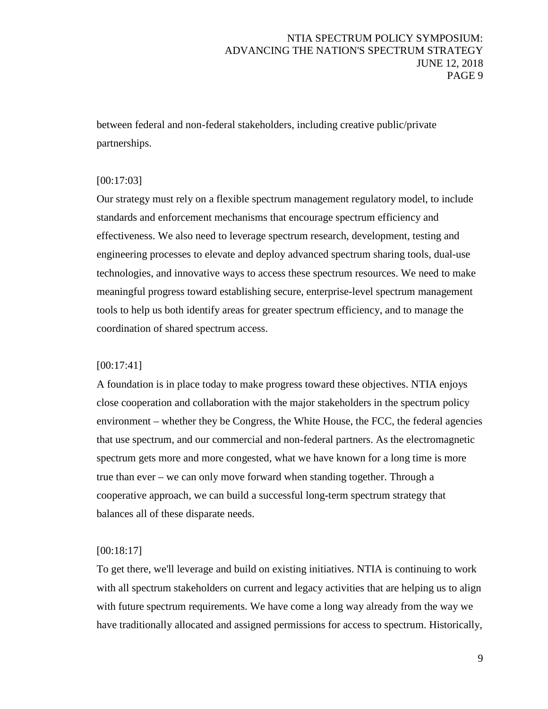between federal and non-federal stakeholders, including creative public/private partnerships.

## [00:17:03]

Our strategy must rely on a flexible spectrum management regulatory model, to include standards and enforcement mechanisms that encourage spectrum efficiency and effectiveness. We also need to leverage spectrum research, development, testing and engineering processes to elevate and deploy advanced spectrum sharing tools, dual-use technologies, and innovative ways to access these spectrum resources. We need to make meaningful progress toward establishing secure, enterprise-level spectrum management tools to help us both identify areas for greater spectrum efficiency, and to manage the coordination of shared spectrum access.

### [00:17:41]

A foundation is in place today to make progress toward these objectives. NTIA enjoys close cooperation and collaboration with the major stakeholders in the spectrum policy environment – whether they be Congress, the White House, the FCC, the federal agencies that use spectrum, and our commercial and non-federal partners. As the electromagnetic spectrum gets more and more congested, what we have known for a long time is more true than ever – we can only move forward when standing together. Through a cooperative approach, we can build a successful long-term spectrum strategy that balances all of these disparate needs.

### [00:18:17]

To get there, we'll leverage and build on existing initiatives. NTIA is continuing to work with all spectrum stakeholders on current and legacy activities that are helping us to align with future spectrum requirements. We have come a long way already from the way we have traditionally allocated and assigned permissions for access to spectrum. Historically,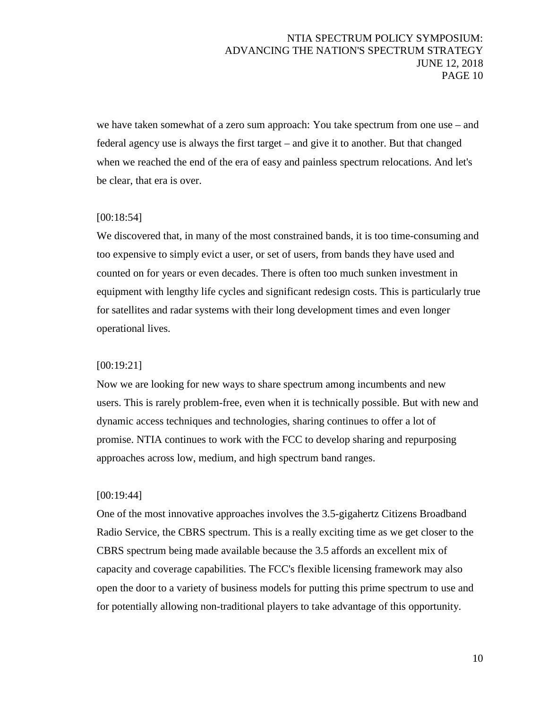we have taken somewhat of a zero sum approach: You take spectrum from one use – and federal agency use is always the first target – and give it to another. But that changed when we reached the end of the era of easy and painless spectrum relocations. And let's be clear, that era is over.

### [00:18:54]

We discovered that, in many of the most constrained bands, it is too time-consuming and too expensive to simply evict a user, or set of users, from bands they have used and counted on for years or even decades. There is often too much sunken investment in equipment with lengthy life cycles and significant redesign costs. This is particularly true for satellites and radar systems with their long development times and even longer operational lives.

### [00:19:21]

Now we are looking for new ways to share spectrum among incumbents and new users. This is rarely problem-free, even when it is technically possible. But with new and dynamic access techniques and technologies, sharing continues to offer a lot of promise. NTIA continues to work with the FCC to develop sharing and repurposing approaches across low, medium, and high spectrum band ranges.

### [00:19:44]

One of the most innovative approaches involves the 3.5-gigahertz Citizens Broadband Radio Service, the CBRS spectrum. This is a really exciting time as we get closer to the CBRS spectrum being made available because the 3.5 affords an excellent mix of capacity and coverage capabilities. The FCC's flexible licensing framework may also open the door to a variety of business models for putting this prime spectrum to use and for potentially allowing non-traditional players to take advantage of this opportunity.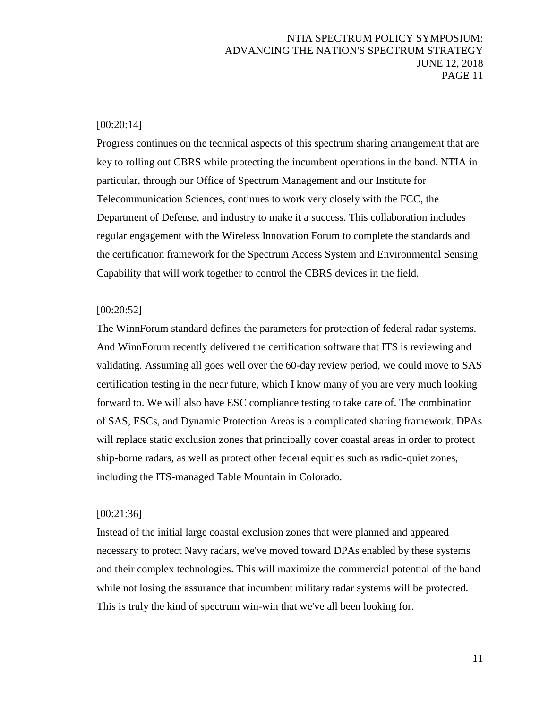### [00:20:14]

Progress continues on the technical aspects of this spectrum sharing arrangement that are key to rolling out CBRS while protecting the incumbent operations in the band. NTIA in particular, through our Office of Spectrum Management and our Institute for Telecommunication Sciences, continues to work very closely with the FCC, the Department of Defense, and industry to make it a success. This collaboration includes regular engagement with the Wireless Innovation Forum to complete the standards and the certification framework for the Spectrum Access System and Environmental Sensing Capability that will work together to control the CBRS devices in the field.

### [00:20:52]

The WinnForum standard defines the parameters for protection of federal radar systems. And WinnForum recently delivered the certification software that ITS is reviewing and validating. Assuming all goes well over the 60-day review period, we could move to SAS certification testing in the near future, which I know many of you are very much looking forward to. We will also have ESC compliance testing to take care of. The combination of SAS, ESCs, and Dynamic Protection Areas is a complicated sharing framework. DPAs will replace static exclusion zones that principally cover coastal areas in order to protect ship-borne radars, as well as protect other federal equities such as radio-quiet zones, including the ITS-managed Table Mountain in Colorado.

#### [00:21:36]

Instead of the initial large coastal exclusion zones that were planned and appeared necessary to protect Navy radars, we've moved toward DPAs enabled by these systems and their complex technologies. This will maximize the commercial potential of the band while not losing the assurance that incumbent military radar systems will be protected. This is truly the kind of spectrum win-win that we've all been looking for.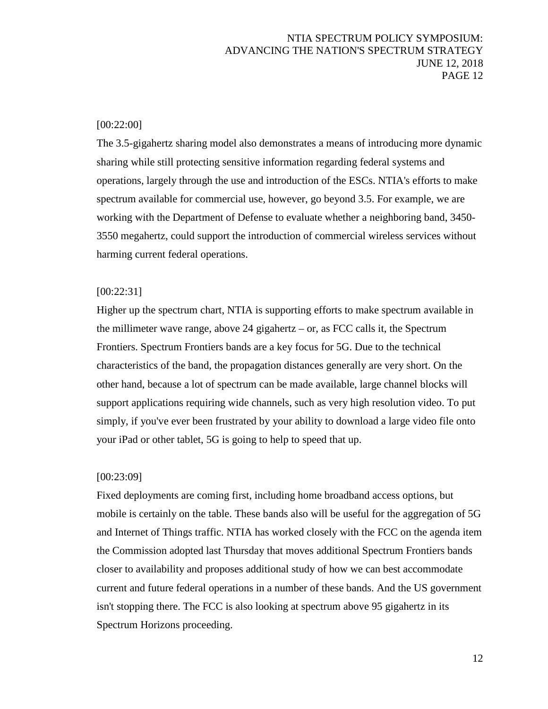### [00:22:00]

The 3.5-gigahertz sharing model also demonstrates a means of introducing more dynamic sharing while still protecting sensitive information regarding federal systems and operations, largely through the use and introduction of the ESCs. NTIA's efforts to make spectrum available for commercial use, however, go beyond 3.5. For example, we are working with the Department of Defense to evaluate whether a neighboring band, 3450- 3550 megahertz, could support the introduction of commercial wireless services without harming current federal operations.

#### [00:22:31]

Higher up the spectrum chart, NTIA is supporting efforts to make spectrum available in the millimeter wave range, above 24 gigahertz – or, as FCC calls it, the Spectrum Frontiers. Spectrum Frontiers bands are a key focus for 5G. Due to the technical characteristics of the band, the propagation distances generally are very short. On the other hand, because a lot of spectrum can be made available, large channel blocks will support applications requiring wide channels, such as very high resolution video. To put simply, if you've ever been frustrated by your ability to download a large video file onto your iPad or other tablet, 5G is going to help to speed that up.

#### [00:23:09]

Fixed deployments are coming first, including home broadband access options, but mobile is certainly on the table. These bands also will be useful for the aggregation of 5G and Internet of Things traffic. NTIA has worked closely with the FCC on the agenda item the Commission adopted last Thursday that moves additional Spectrum Frontiers bands closer to availability and proposes additional study of how we can best accommodate current and future federal operations in a number of these bands. And the US government isn't stopping there. The FCC is also looking at spectrum above 95 gigahertz in its Spectrum Horizons proceeding.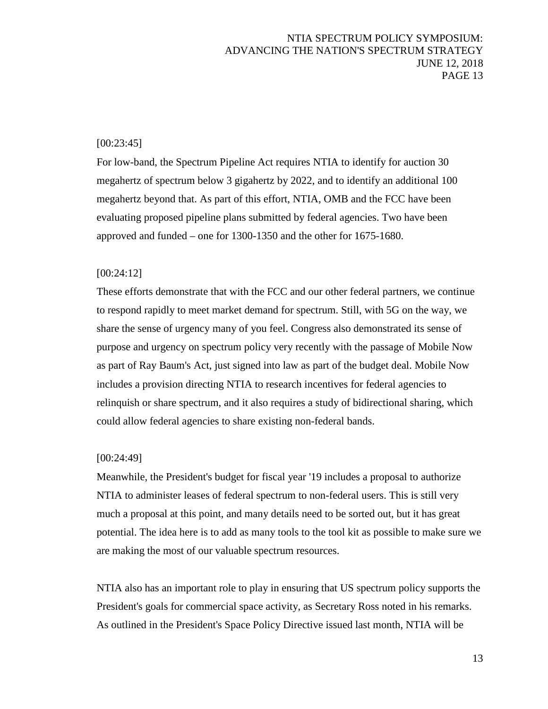### [00:23:45]

For low-band, the Spectrum Pipeline Act requires NTIA to identify for auction 30 megahertz of spectrum below 3 gigahertz by 2022, and to identify an additional 100 megahertz beyond that. As part of this effort, NTIA, OMB and the FCC have been evaluating proposed pipeline plans submitted by federal agencies. Two have been approved and funded – one for 1300-1350 and the other for 1675-1680.

#### [00:24:12]

These efforts demonstrate that with the FCC and our other federal partners, we continue to respond rapidly to meet market demand for spectrum. Still, with 5G on the way, we share the sense of urgency many of you feel. Congress also demonstrated its sense of purpose and urgency on spectrum policy very recently with the passage of Mobile Now as part of Ray Baum's Act, just signed into law as part of the budget deal. Mobile Now includes a provision directing NTIA to research incentives for federal agencies to relinquish or share spectrum, and it also requires a study of bidirectional sharing, which could allow federal agencies to share existing non-federal bands.

#### [00:24:49]

Meanwhile, the President's budget for fiscal year '19 includes a proposal to authorize NTIA to administer leases of federal spectrum to non-federal users. This is still very much a proposal at this point, and many details need to be sorted out, but it has great potential. The idea here is to add as many tools to the tool kit as possible to make sure we are making the most of our valuable spectrum resources.

NTIA also has an important role to play in ensuring that US spectrum policy supports the President's goals for commercial space activity, as Secretary Ross noted in his remarks. As outlined in the President's Space Policy Directive issued last month, NTIA will be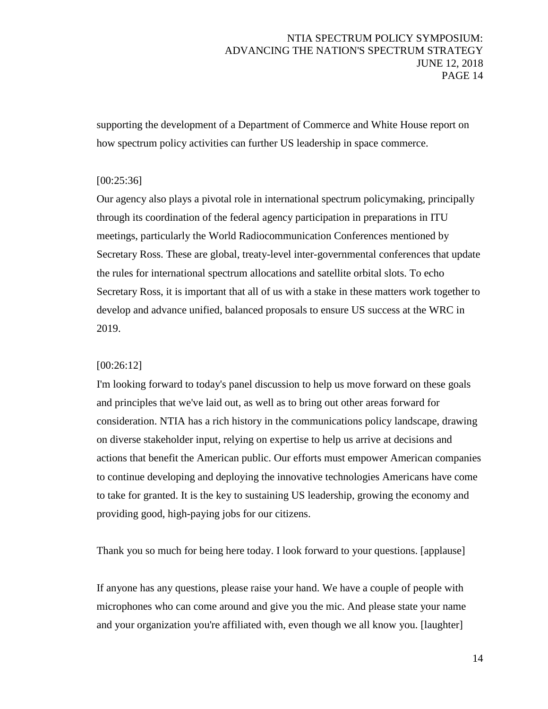supporting the development of a Department of Commerce and White House report on how spectrum policy activities can further US leadership in space commerce.

## [00:25:36]

Our agency also plays a pivotal role in international spectrum policymaking, principally through its coordination of the federal agency participation in preparations in ITU meetings, particularly the World Radiocommunication Conferences mentioned by Secretary Ross. These are global, treaty-level inter-governmental conferences that update the rules for international spectrum allocations and satellite orbital slots. To echo Secretary Ross, it is important that all of us with a stake in these matters work together to develop and advance unified, balanced proposals to ensure US success at the WRC in 2019.

### [00:26:12]

I'm looking forward to today's panel discussion to help us move forward on these goals and principles that we've laid out, as well as to bring out other areas forward for consideration. NTIA has a rich history in the communications policy landscape, drawing on diverse stakeholder input, relying on expertise to help us arrive at decisions and actions that benefit the American public. Our efforts must empower American companies to continue developing and deploying the innovative technologies Americans have come to take for granted. It is the key to sustaining US leadership, growing the economy and providing good, high-paying jobs for our citizens.

Thank you so much for being here today. I look forward to your questions. [applause]

If anyone has any questions, please raise your hand. We have a couple of people with microphones who can come around and give you the mic. And please state your name and your organization you're affiliated with, even though we all know you. [laughter]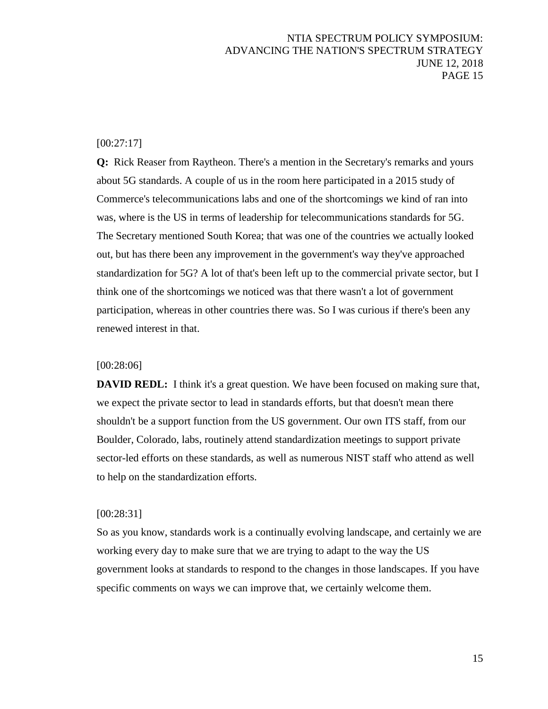### [00:27:17]

**Q:** Rick Reaser from Raytheon. There's a mention in the Secretary's remarks and yours about 5G standards. A couple of us in the room here participated in a 2015 study of Commerce's telecommunications labs and one of the shortcomings we kind of ran into was, where is the US in terms of leadership for telecommunications standards for 5G. The Secretary mentioned South Korea; that was one of the countries we actually looked out, but has there been any improvement in the government's way they've approached standardization for 5G? A lot of that's been left up to the commercial private sector, but I think one of the shortcomings we noticed was that there wasn't a lot of government participation, whereas in other countries there was. So I was curious if there's been any renewed interest in that.

### [00:28:06]

**DAVID REDL:** I think it's a great question. We have been focused on making sure that, we expect the private sector to lead in standards efforts, but that doesn't mean there shouldn't be a support function from the US government. Our own ITS staff, from our Boulder, Colorado, labs, routinely attend standardization meetings to support private sector-led efforts on these standards, as well as numerous NIST staff who attend as well to help on the standardization efforts.

#### [00:28:31]

So as you know, standards work is a continually evolving landscape, and certainly we are working every day to make sure that we are trying to adapt to the way the US government looks at standards to respond to the changes in those landscapes. If you have specific comments on ways we can improve that, we certainly welcome them.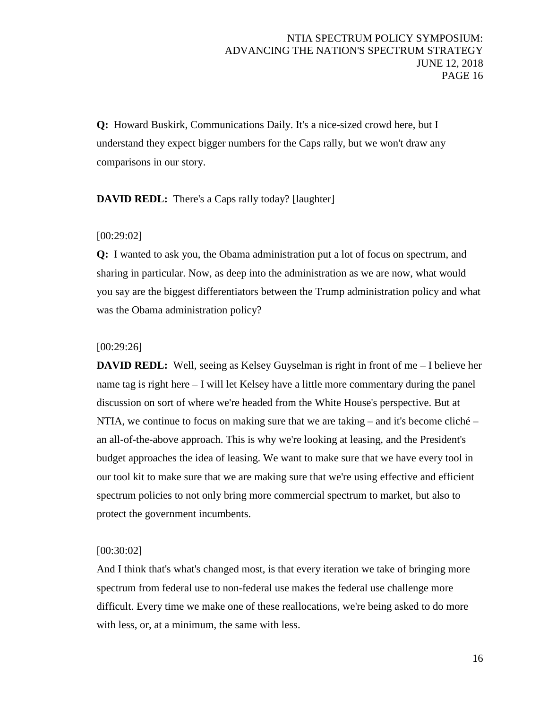**Q:** Howard Buskirk, Communications Daily. It's a nice-sized crowd here, but I understand they expect bigger numbers for the Caps rally, but we won't draw any comparisons in our story.

### **DAVID REDL:** There's a Caps rally today? [laughter]

### [00:29:02]

**Q:** I wanted to ask you, the Obama administration put a lot of focus on spectrum, and sharing in particular. Now, as deep into the administration as we are now, what would you say are the biggest differentiators between the Trump administration policy and what was the Obama administration policy?

#### [00:29:26]

**DAVID REDL:** Well, seeing as Kelsey Guyselman is right in front of me – I believe her name tag is right here – I will let Kelsey have a little more commentary during the panel discussion on sort of where we're headed from the White House's perspective. But at NTIA, we continue to focus on making sure that we are taking – and it's become cliché – an all-of-the-above approach. This is why we're looking at leasing, and the President's budget approaches the idea of leasing. We want to make sure that we have every tool in our tool kit to make sure that we are making sure that we're using effective and efficient spectrum policies to not only bring more commercial spectrum to market, but also to protect the government incumbents.

### [00:30:02]

And I think that's what's changed most, is that every iteration we take of bringing more spectrum from federal use to non-federal use makes the federal use challenge more difficult. Every time we make one of these reallocations, we're being asked to do more with less, or, at a minimum, the same with less.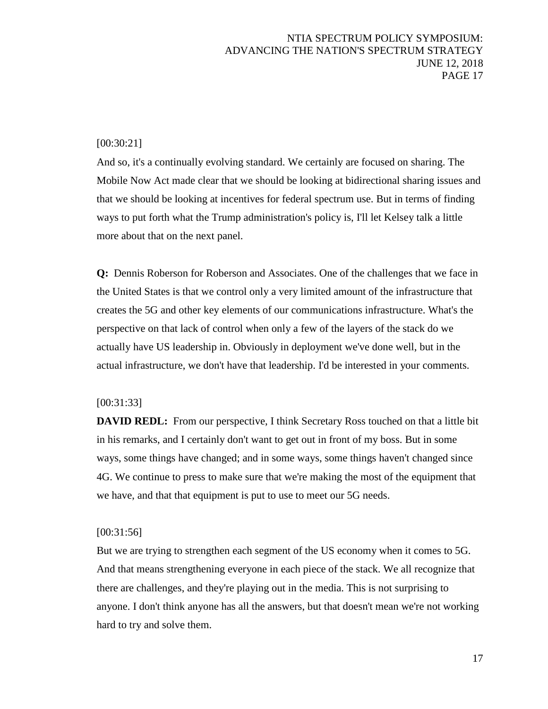### [00:30:21]

And so, it's a continually evolving standard. We certainly are focused on sharing. The Mobile Now Act made clear that we should be looking at bidirectional sharing issues and that we should be looking at incentives for federal spectrum use. But in terms of finding ways to put forth what the Trump administration's policy is, I'll let Kelsey talk a little more about that on the next panel.

**Q:** Dennis Roberson for Roberson and Associates. One of the challenges that we face in the United States is that we control only a very limited amount of the infrastructure that creates the 5G and other key elements of our communications infrastructure. What's the perspective on that lack of control when only a few of the layers of the stack do we actually have US leadership in. Obviously in deployment we've done well, but in the actual infrastructure, we don't have that leadership. I'd be interested in your comments.

### [00:31:33]

**DAVID REDL:** From our perspective, I think Secretary Ross touched on that a little bit in his remarks, and I certainly don't want to get out in front of my boss. But in some ways, some things have changed; and in some ways, some things haven't changed since 4G. We continue to press to make sure that we're making the most of the equipment that we have, and that that equipment is put to use to meet our 5G needs.

#### [00:31:56]

But we are trying to strengthen each segment of the US economy when it comes to 5G. And that means strengthening everyone in each piece of the stack. We all recognize that there are challenges, and they're playing out in the media. This is not surprising to anyone. I don't think anyone has all the answers, but that doesn't mean we're not working hard to try and solve them.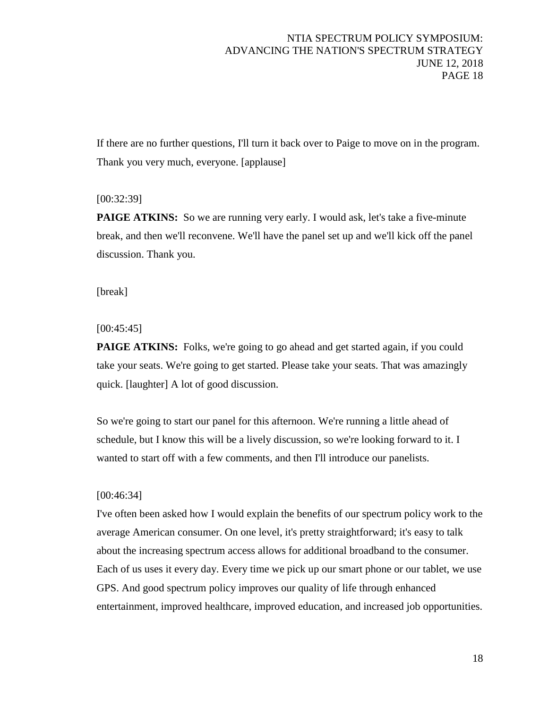If there are no further questions, I'll turn it back over to Paige to move on in the program. Thank you very much, everyone. [applause]

### [00:32:39]

**PAIGE ATKINS:** So we are running very early. I would ask, let's take a five-minute break, and then we'll reconvene. We'll have the panel set up and we'll kick off the panel discussion. Thank you.

[break]

### $[00:45:45]$

**PAIGE ATKINS:** Folks, we're going to go ahead and get started again, if you could take your seats. We're going to get started. Please take your seats. That was amazingly quick. [laughter] A lot of good discussion.

So we're going to start our panel for this afternoon. We're running a little ahead of schedule, but I know this will be a lively discussion, so we're looking forward to it. I wanted to start off with a few comments, and then I'll introduce our panelists.

### [00:46:34]

I've often been asked how I would explain the benefits of our spectrum policy work to the average American consumer. On one level, it's pretty straightforward; it's easy to talk about the increasing spectrum access allows for additional broadband to the consumer. Each of us uses it every day. Every time we pick up our smart phone or our tablet, we use GPS. And good spectrum policy improves our quality of life through enhanced entertainment, improved healthcare, improved education, and increased job opportunities.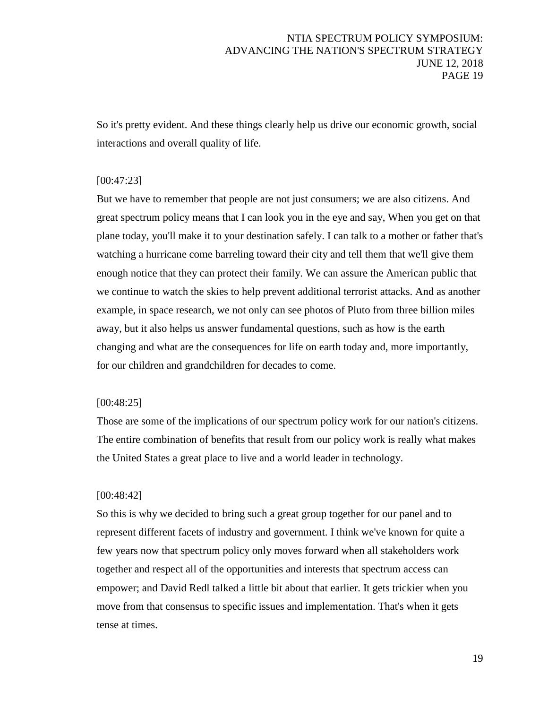So it's pretty evident. And these things clearly help us drive our economic growth, social interactions and overall quality of life.

# [00:47:23]

But we have to remember that people are not just consumers; we are also citizens. And great spectrum policy means that I can look you in the eye and say, When you get on that plane today, you'll make it to your destination safely. I can talk to a mother or father that's watching a hurricane come barreling toward their city and tell them that we'll give them enough notice that they can protect their family. We can assure the American public that we continue to watch the skies to help prevent additional terrorist attacks. And as another example, in space research, we not only can see photos of Pluto from three billion miles away, but it also helps us answer fundamental questions, such as how is the earth changing and what are the consequences for life on earth today and, more importantly, for our children and grandchildren for decades to come.

### [00:48:25]

Those are some of the implications of our spectrum policy work for our nation's citizens. The entire combination of benefits that result from our policy work is really what makes the United States a great place to live and a world leader in technology.

#### [00:48:42]

So this is why we decided to bring such a great group together for our panel and to represent different facets of industry and government. I think we've known for quite a few years now that spectrum policy only moves forward when all stakeholders work together and respect all of the opportunities and interests that spectrum access can empower; and David Redl talked a little bit about that earlier. It gets trickier when you move from that consensus to specific issues and implementation. That's when it gets tense at times.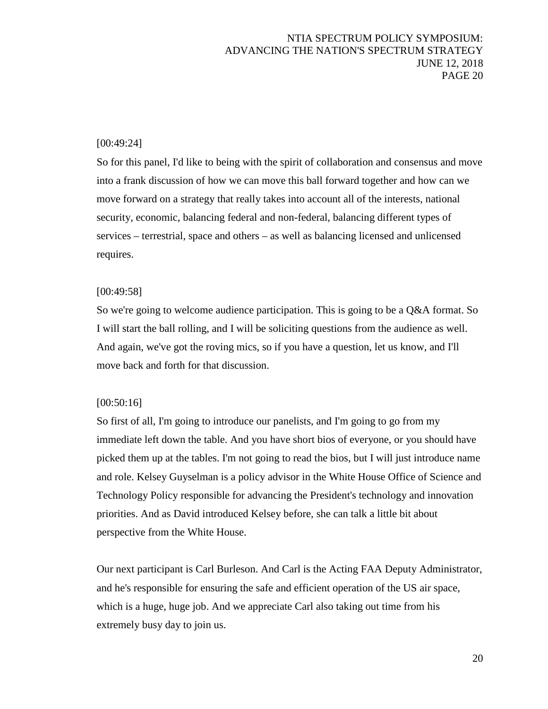### [00:49:24]

So for this panel, I'd like to being with the spirit of collaboration and consensus and move into a frank discussion of how we can move this ball forward together and how can we move forward on a strategy that really takes into account all of the interests, national security, economic, balancing federal and non-federal, balancing different types of services – terrestrial, space and others – as well as balancing licensed and unlicensed requires.

### [00:49:58]

So we're going to welcome audience participation. This is going to be a Q&A format. So I will start the ball rolling, and I will be soliciting questions from the audience as well. And again, we've got the roving mics, so if you have a question, let us know, and I'll move back and forth for that discussion.

### [00:50:16]

So first of all, I'm going to introduce our panelists, and I'm going to go from my immediate left down the table. And you have short bios of everyone, or you should have picked them up at the tables. I'm not going to read the bios, but I will just introduce name and role. Kelsey Guyselman is a policy advisor in the White House Office of Science and Technology Policy responsible for advancing the President's technology and innovation priorities. And as David introduced Kelsey before, she can talk a little bit about perspective from the White House.

Our next participant is Carl Burleson. And Carl is the Acting FAA Deputy Administrator, and he's responsible for ensuring the safe and efficient operation of the US air space, which is a huge, huge job. And we appreciate Carl also taking out time from his extremely busy day to join us.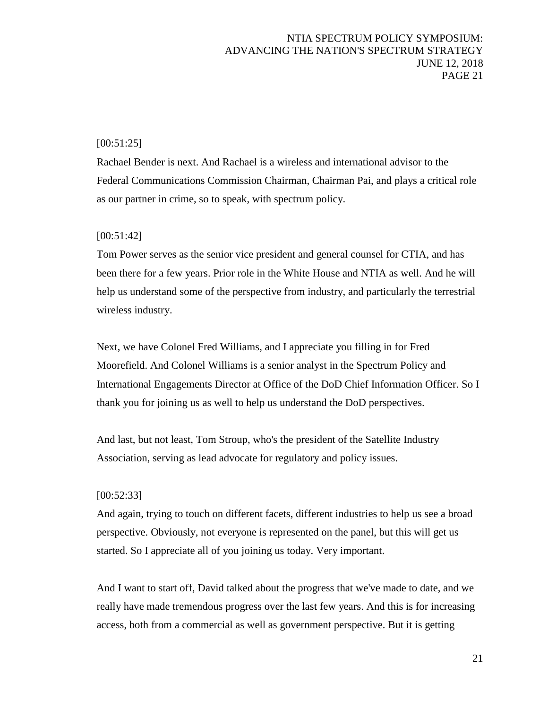### [00:51:25]

Rachael Bender is next. And Rachael is a wireless and international advisor to the Federal Communications Commission Chairman, Chairman Pai, and plays a critical role as our partner in crime, so to speak, with spectrum policy.

### [00:51:42]

Tom Power serves as the senior vice president and general counsel for CTIA, and has been there for a few years. Prior role in the White House and NTIA as well. And he will help us understand some of the perspective from industry, and particularly the terrestrial wireless industry.

Next, we have Colonel Fred Williams, and I appreciate you filling in for Fred Moorefield. And Colonel Williams is a senior analyst in the Spectrum Policy and International Engagements Director at Office of the DoD Chief Information Officer. So I thank you for joining us as well to help us understand the DoD perspectives.

And last, but not least, Tom Stroup, who's the president of the Satellite Industry Association, serving as lead advocate for regulatory and policy issues.

#### [00:52:33]

And again, trying to touch on different facets, different industries to help us see a broad perspective. Obviously, not everyone is represented on the panel, but this will get us started. So I appreciate all of you joining us today. Very important.

And I want to start off, David talked about the progress that we've made to date, and we really have made tremendous progress over the last few years. And this is for increasing access, both from a commercial as well as government perspective. But it is getting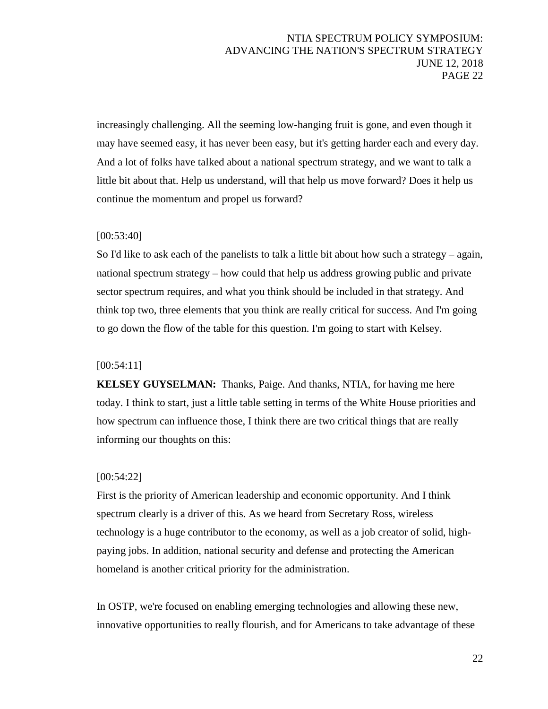increasingly challenging. All the seeming low-hanging fruit is gone, and even though it may have seemed easy, it has never been easy, but it's getting harder each and every day. And a lot of folks have talked about a national spectrum strategy, and we want to talk a little bit about that. Help us understand, will that help us move forward? Does it help us continue the momentum and propel us forward?

### [00:53:40]

So I'd like to ask each of the panelists to talk a little bit about how such a strategy – again, national spectrum strategy – how could that help us address growing public and private sector spectrum requires, and what you think should be included in that strategy. And think top two, three elements that you think are really critical for success. And I'm going to go down the flow of the table for this question. I'm going to start with Kelsey.

### [00:54:11]

**KELSEY GUYSELMAN:** Thanks, Paige. And thanks, NTIA, for having me here today. I think to start, just a little table setting in terms of the White House priorities and how spectrum can influence those, I think there are two critical things that are really informing our thoughts on this:

### [00:54:22]

First is the priority of American leadership and economic opportunity. And I think spectrum clearly is a driver of this. As we heard from Secretary Ross, wireless technology is a huge contributor to the economy, as well as a job creator of solid, highpaying jobs. In addition, national security and defense and protecting the American homeland is another critical priority for the administration.

In OSTP, we're focused on enabling emerging technologies and allowing these new, innovative opportunities to really flourish, and for Americans to take advantage of these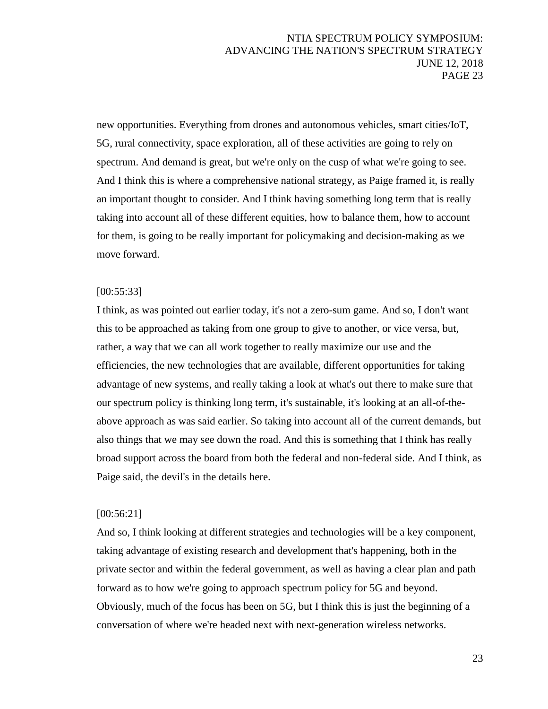new opportunities. Everything from drones and autonomous vehicles, smart cities/IoT, 5G, rural connectivity, space exploration, all of these activities are going to rely on spectrum. And demand is great, but we're only on the cusp of what we're going to see. And I think this is where a comprehensive national strategy, as Paige framed it, is really an important thought to consider. And I think having something long term that is really taking into account all of these different equities, how to balance them, how to account for them, is going to be really important for policymaking and decision-making as we move forward.

#### [00:55:33]

I think, as was pointed out earlier today, it's not a zero-sum game. And so, I don't want this to be approached as taking from one group to give to another, or vice versa, but, rather, a way that we can all work together to really maximize our use and the efficiencies, the new technologies that are available, different opportunities for taking advantage of new systems, and really taking a look at what's out there to make sure that our spectrum policy is thinking long term, it's sustainable, it's looking at an all-of-theabove approach as was said earlier. So taking into account all of the current demands, but also things that we may see down the road. And this is something that I think has really broad support across the board from both the federal and non-federal side. And I think, as Paige said, the devil's in the details here.

#### [00:56:21]

And so, I think looking at different strategies and technologies will be a key component, taking advantage of existing research and development that's happening, both in the private sector and within the federal government, as well as having a clear plan and path forward as to how we're going to approach spectrum policy for 5G and beyond. Obviously, much of the focus has been on 5G, but I think this is just the beginning of a conversation of where we're headed next with next-generation wireless networks.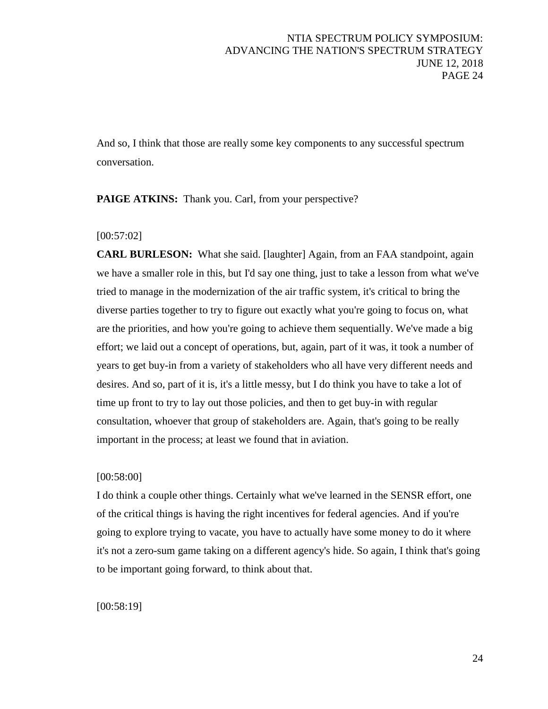And so, I think that those are really some key components to any successful spectrum conversation.

**PAIGE ATKINS:** Thank you. Carl, from your perspective?

### [00:57:02]

**CARL BURLESON:** What she said. [laughter] Again, from an FAA standpoint, again we have a smaller role in this, but I'd say one thing, just to take a lesson from what we've tried to manage in the modernization of the air traffic system, it's critical to bring the diverse parties together to try to figure out exactly what you're going to focus on, what are the priorities, and how you're going to achieve them sequentially. We've made a big effort; we laid out a concept of operations, but, again, part of it was, it took a number of years to get buy-in from a variety of stakeholders who all have very different needs and desires. And so, part of it is, it's a little messy, but I do think you have to take a lot of time up front to try to lay out those policies, and then to get buy-in with regular consultation, whoever that group of stakeholders are. Again, that's going to be really important in the process; at least we found that in aviation.

### [00:58:00]

I do think a couple other things. Certainly what we've learned in the SENSR effort, one of the critical things is having the right incentives for federal agencies. And if you're going to explore trying to vacate, you have to actually have some money to do it where it's not a zero-sum game taking on a different agency's hide. So again, I think that's going to be important going forward, to think about that.

[00:58:19]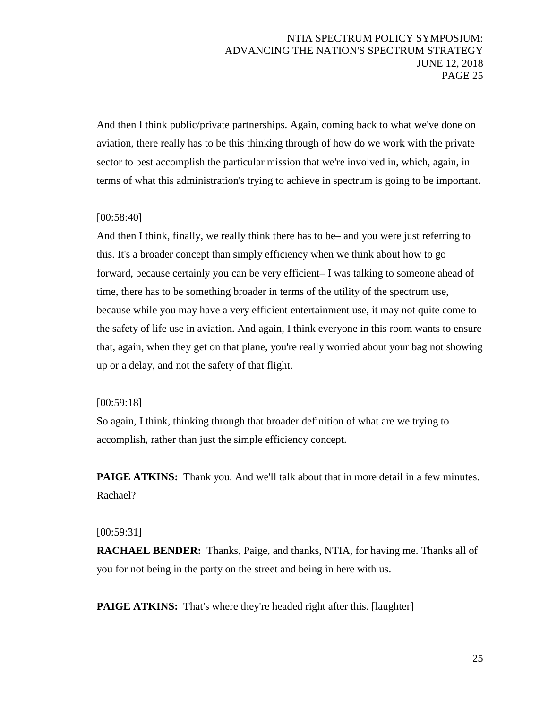And then I think public/private partnerships. Again, coming back to what we've done on aviation, there really has to be this thinking through of how do we work with the private sector to best accomplish the particular mission that we're involved in, which, again, in terms of what this administration's trying to achieve in spectrum is going to be important.

# [00:58:40]

And then I think, finally, we really think there has to be– and you were just referring to this. It's a broader concept than simply efficiency when we think about how to go forward, because certainly you can be very efficient– I was talking to someone ahead of time, there has to be something broader in terms of the utility of the spectrum use, because while you may have a very efficient entertainment use, it may not quite come to the safety of life use in aviation. And again, I think everyone in this room wants to ensure that, again, when they get on that plane, you're really worried about your bag not showing up or a delay, and not the safety of that flight.

### [00:59:18]

So again, I think, thinking through that broader definition of what are we trying to accomplish, rather than just the simple efficiency concept.

**PAIGE ATKINS:** Thank you. And we'll talk about that in more detail in a few minutes. Rachael?

### [00:59:31]

**RACHAEL BENDER:** Thanks, Paige, and thanks, NTIA, for having me. Thanks all of you for not being in the party on the street and being in here with us.

**PAIGE ATKINS:** That's where they're headed right after this. [laughter]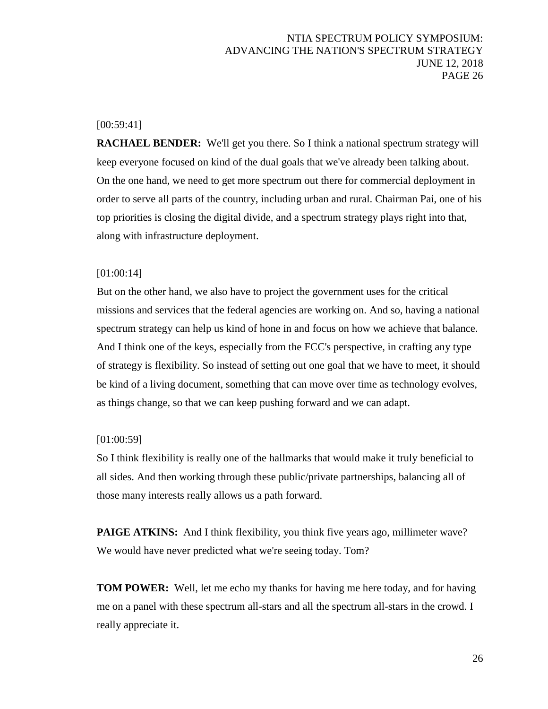# [00:59:41]

**RACHAEL BENDER:** We'll get you there. So I think a national spectrum strategy will keep everyone focused on kind of the dual goals that we've already been talking about. On the one hand, we need to get more spectrum out there for commercial deployment in order to serve all parts of the country, including urban and rural. Chairman Pai, one of his top priorities is closing the digital divide, and a spectrum strategy plays right into that, along with infrastructure deployment.

### [01:00:14]

But on the other hand, we also have to project the government uses for the critical missions and services that the federal agencies are working on. And so, having a national spectrum strategy can help us kind of hone in and focus on how we achieve that balance. And I think one of the keys, especially from the FCC's perspective, in crafting any type of strategy is flexibility. So instead of setting out one goal that we have to meet, it should be kind of a living document, something that can move over time as technology evolves, as things change, so that we can keep pushing forward and we can adapt.

### [01:00:59]

So I think flexibility is really one of the hallmarks that would make it truly beneficial to all sides. And then working through these public/private partnerships, balancing all of those many interests really allows us a path forward.

**PAIGE ATKINS:** And I think flexibility, you think five years ago, millimeter wave? We would have never predicted what we're seeing today. Tom?

**TOM POWER:** Well, let me echo my thanks for having me here today, and for having me on a panel with these spectrum all-stars and all the spectrum all-stars in the crowd. I really appreciate it.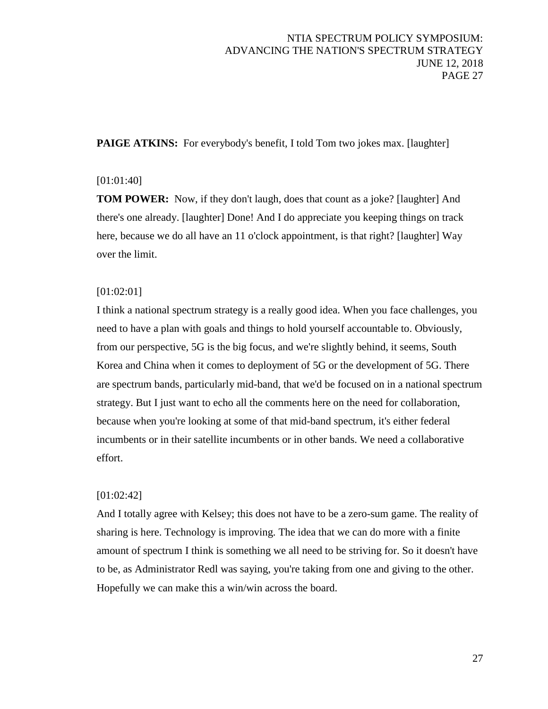**PAIGE ATKINS:** For everybody's benefit, I told Tom two jokes max. [laughter]

## [01:01:40]

**TOM POWER:** Now, if they don't laugh, does that count as a joke? [laughter] And there's one already. [laughter] Done! And I do appreciate you keeping things on track here, because we do all have an 11 o'clock appointment, is that right? [laughter] Way over the limit.

# [01:02:01]

I think a national spectrum strategy is a really good idea. When you face challenges, you need to have a plan with goals and things to hold yourself accountable to. Obviously, from our perspective, 5G is the big focus, and we're slightly behind, it seems, South Korea and China when it comes to deployment of 5G or the development of 5G. There are spectrum bands, particularly mid-band, that we'd be focused on in a national spectrum strategy. But I just want to echo all the comments here on the need for collaboration, because when you're looking at some of that mid-band spectrum, it's either federal incumbents or in their satellite incumbents or in other bands. We need a collaborative effort.

# [01:02:42]

And I totally agree with Kelsey; this does not have to be a zero-sum game. The reality of sharing is here. Technology is improving. The idea that we can do more with a finite amount of spectrum I think is something we all need to be striving for. So it doesn't have to be, as Administrator Redl was saying, you're taking from one and giving to the other. Hopefully we can make this a win/win across the board.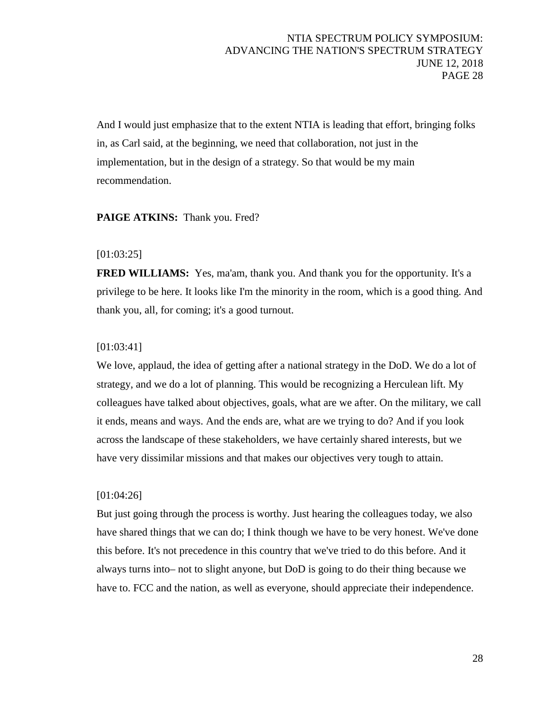And I would just emphasize that to the extent NTIA is leading that effort, bringing folks in, as Carl said, at the beginning, we need that collaboration, not just in the implementation, but in the design of a strategy. So that would be my main recommendation.

### PAIGE ATKINS: Thank you. Fred?

### [01:03:25]

**FRED WILLIAMS:** Yes, ma'am, thank you. And thank you for the opportunity. It's a privilege to be here. It looks like I'm the minority in the room, which is a good thing. And thank you, all, for coming; it's a good turnout.

### [01:03:41]

We love, applaud, the idea of getting after a national strategy in the DoD. We do a lot of strategy, and we do a lot of planning. This would be recognizing a Herculean lift. My colleagues have talked about objectives, goals, what are we after. On the military, we call it ends, means and ways. And the ends are, what are we trying to do? And if you look across the landscape of these stakeholders, we have certainly shared interests, but we have very dissimilar missions and that makes our objectives very tough to attain.

### [01:04:26]

But just going through the process is worthy. Just hearing the colleagues today, we also have shared things that we can do; I think though we have to be very honest. We've done this before. It's not precedence in this country that we've tried to do this before. And it always turns into– not to slight anyone, but DoD is going to do their thing because we have to. FCC and the nation, as well as everyone, should appreciate their independence.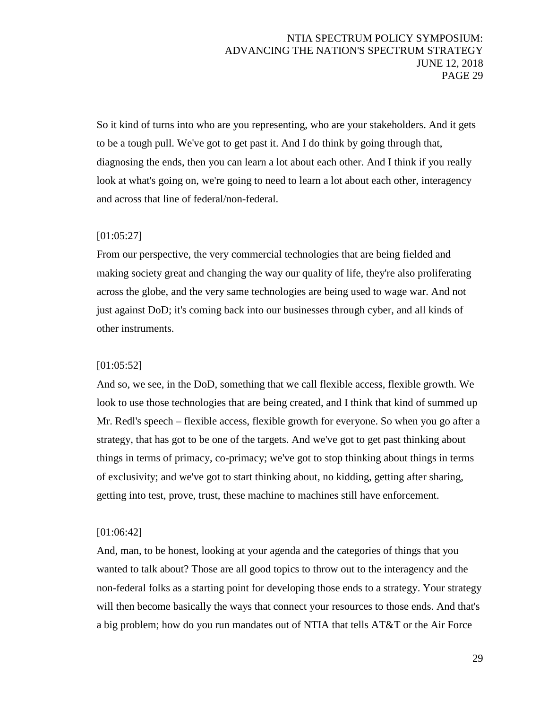So it kind of turns into who are you representing, who are your stakeholders. And it gets to be a tough pull. We've got to get past it. And I do think by going through that, diagnosing the ends, then you can learn a lot about each other. And I think if you really look at what's going on, we're going to need to learn a lot about each other, interagency and across that line of federal/non-federal.

### [01:05:27]

From our perspective, the very commercial technologies that are being fielded and making society great and changing the way our quality of life, they're also proliferating across the globe, and the very same technologies are being used to wage war. And not just against DoD; it's coming back into our businesses through cyber, and all kinds of other instruments.

#### [01:05:52]

And so, we see, in the DoD, something that we call flexible access, flexible growth. We look to use those technologies that are being created, and I think that kind of summed up Mr. Redl's speech – flexible access, flexible growth for everyone. So when you go after a strategy, that has got to be one of the targets. And we've got to get past thinking about things in terms of primacy, co-primacy; we've got to stop thinking about things in terms of exclusivity; and we've got to start thinking about, no kidding, getting after sharing, getting into test, prove, trust, these machine to machines still have enforcement.

#### [01:06:42]

And, man, to be honest, looking at your agenda and the categories of things that you wanted to talk about? Those are all good topics to throw out to the interagency and the non-federal folks as a starting point for developing those ends to a strategy. Your strategy will then become basically the ways that connect your resources to those ends. And that's a big problem; how do you run mandates out of NTIA that tells AT&T or the Air Force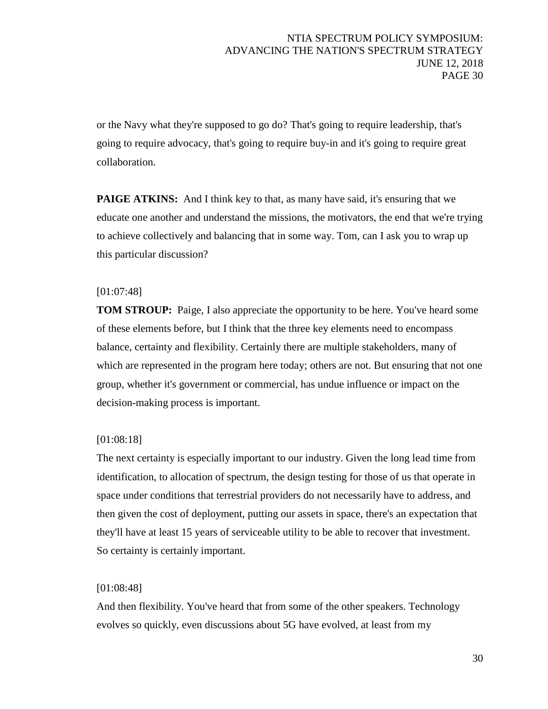or the Navy what they're supposed to go do? That's going to require leadership, that's going to require advocacy, that's going to require buy-in and it's going to require great collaboration.

**PAIGE ATKINS:** And I think key to that, as many have said, it's ensuring that we educate one another and understand the missions, the motivators, the end that we're trying to achieve collectively and balancing that in some way. Tom, can I ask you to wrap up this particular discussion?

### [01:07:48]

**TOM STROUP:** Paige, I also appreciate the opportunity to be here. You've heard some of these elements before, but I think that the three key elements need to encompass balance, certainty and flexibility. Certainly there are multiple stakeholders, many of which are represented in the program here today; others are not. But ensuring that not one group, whether it's government or commercial, has undue influence or impact on the decision-making process is important.

### [01:08:18]

The next certainty is especially important to our industry. Given the long lead time from identification, to allocation of spectrum, the design testing for those of us that operate in space under conditions that terrestrial providers do not necessarily have to address, and then given the cost of deployment, putting our assets in space, there's an expectation that they'll have at least 15 years of serviceable utility to be able to recover that investment. So certainty is certainly important.

### [01:08:48]

And then flexibility. You've heard that from some of the other speakers. Technology evolves so quickly, even discussions about 5G have evolved, at least from my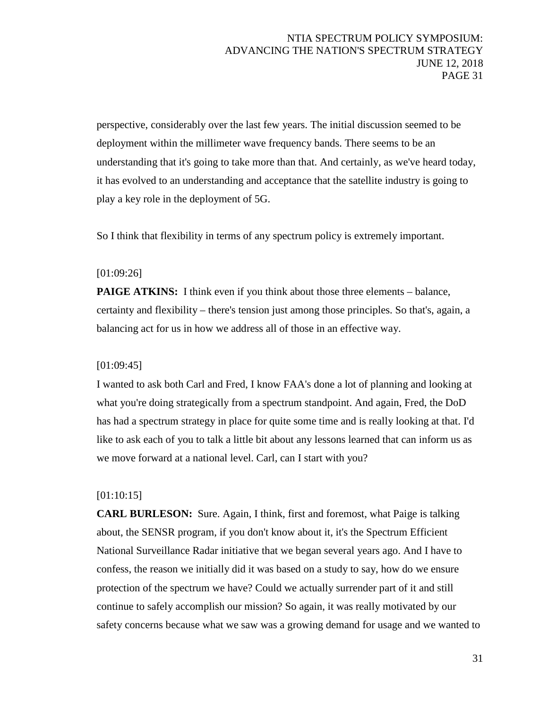perspective, considerably over the last few years. The initial discussion seemed to be deployment within the millimeter wave frequency bands. There seems to be an understanding that it's going to take more than that. And certainly, as we've heard today, it has evolved to an understanding and acceptance that the satellite industry is going to play a key role in the deployment of 5G.

So I think that flexibility in terms of any spectrum policy is extremely important.

# [01:09:26]

**PAIGE ATKINS:** I think even if you think about those three elements – balance, certainty and flexibility – there's tension just among those principles. So that's, again, a balancing act for us in how we address all of those in an effective way.

# [01:09:45]

I wanted to ask both Carl and Fred, I know FAA's done a lot of planning and looking at what you're doing strategically from a spectrum standpoint. And again, Fred, the DoD has had a spectrum strategy in place for quite some time and is really looking at that. I'd like to ask each of you to talk a little bit about any lessons learned that can inform us as we move forward at a national level. Carl, can I start with you?

# [01:10:15]

**CARL BURLESON:** Sure. Again, I think, first and foremost, what Paige is talking about, the SENSR program, if you don't know about it, it's the Spectrum Efficient National Surveillance Radar initiative that we began several years ago. And I have to confess, the reason we initially did it was based on a study to say, how do we ensure protection of the spectrum we have? Could we actually surrender part of it and still continue to safely accomplish our mission? So again, it was really motivated by our safety concerns because what we saw was a growing demand for usage and we wanted to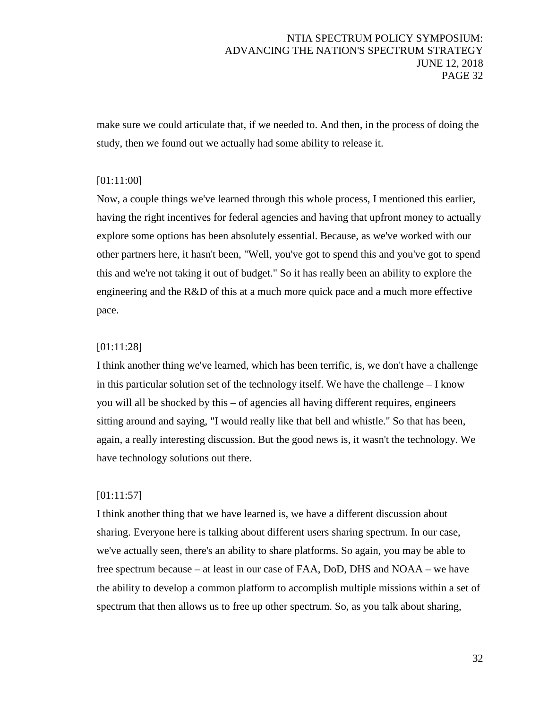make sure we could articulate that, if we needed to. And then, in the process of doing the study, then we found out we actually had some ability to release it.

# [01:11:00]

Now, a couple things we've learned through this whole process, I mentioned this earlier, having the right incentives for federal agencies and having that upfront money to actually explore some options has been absolutely essential. Because, as we've worked with our other partners here, it hasn't been, "Well, you've got to spend this and you've got to spend this and we're not taking it out of budget." So it has really been an ability to explore the engineering and the R&D of this at a much more quick pace and a much more effective pace.

### [01:11:28]

I think another thing we've learned, which has been terrific, is, we don't have a challenge in this particular solution set of the technology itself. We have the challenge – I know you will all be shocked by this – of agencies all having different requires, engineers sitting around and saying, "I would really like that bell and whistle." So that has been, again, a really interesting discussion. But the good news is, it wasn't the technology. We have technology solutions out there.

### [01:11:57]

I think another thing that we have learned is, we have a different discussion about sharing. Everyone here is talking about different users sharing spectrum. In our case, we've actually seen, there's an ability to share platforms. So again, you may be able to free spectrum because – at least in our case of FAA, DoD, DHS and NOAA – we have the ability to develop a common platform to accomplish multiple missions within a set of spectrum that then allows us to free up other spectrum. So, as you talk about sharing,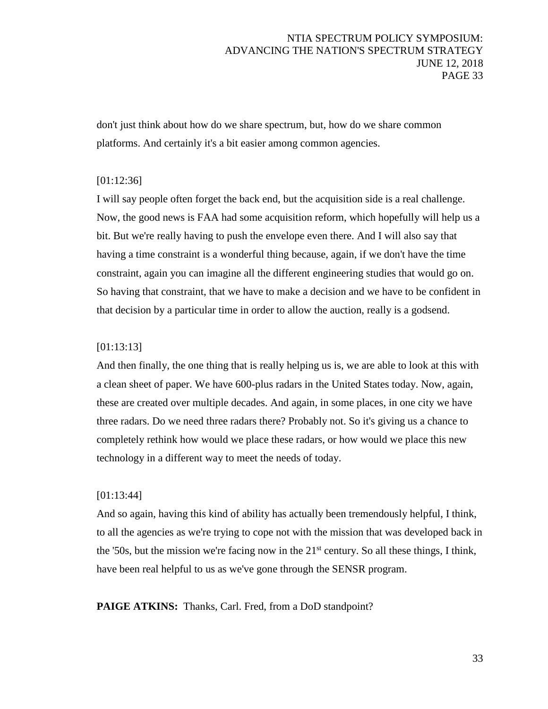don't just think about how do we share spectrum, but, how do we share common platforms. And certainly it's a bit easier among common agencies.

### [01:12:36]

I will say people often forget the back end, but the acquisition side is a real challenge. Now, the good news is FAA had some acquisition reform, which hopefully will help us a bit. But we're really having to push the envelope even there. And I will also say that having a time constraint is a wonderful thing because, again, if we don't have the time constraint, again you can imagine all the different engineering studies that would go on. So having that constraint, that we have to make a decision and we have to be confident in that decision by a particular time in order to allow the auction, really is a godsend.

### [01:13:13]

And then finally, the one thing that is really helping us is, we are able to look at this with a clean sheet of paper. We have 600-plus radars in the United States today. Now, again, these are created over multiple decades. And again, in some places, in one city we have three radars. Do we need three radars there? Probably not. So it's giving us a chance to completely rethink how would we place these radars, or how would we place this new technology in a different way to meet the needs of today.

### [01:13:44]

And so again, having this kind of ability has actually been tremendously helpful, I think, to all the agencies as we're trying to cope not with the mission that was developed back in the '50s, but the mission we're facing now in the  $21<sup>st</sup>$  century. So all these things, I think, have been real helpful to us as we've gone through the SENSR program.

**PAIGE ATKINS:** Thanks, Carl. Fred, from a DoD standpoint?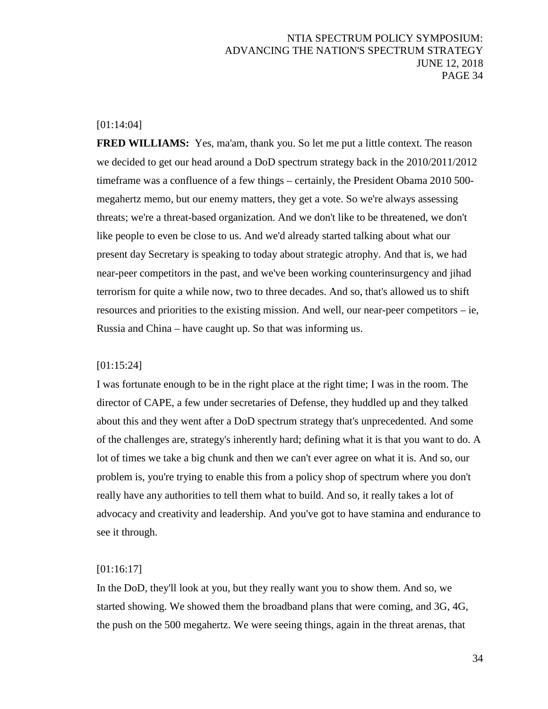# [01:14:04]

**FRED WILLIAMS:** Yes, ma'am, thank you. So let me put a little context. The reason we decided to get our head around a DoD spectrum strategy back in the 2010/2011/2012 timeframe was a confluence of a few things – certainly, the President Obama 2010 500 megahertz memo, but our enemy matters, they get a vote. So we're always assessing threats; we're a threat-based organization. And we don't like to be threatened, we don't like people to even be close to us. And we'd already started talking about what our present day Secretary is speaking to today about strategic atrophy. And that is, we had near-peer competitors in the past, and we've been working counterinsurgency and jihad terrorism for quite a while now, two to three decades. And so, that's allowed us to shift resources and priorities to the existing mission. And well, our near-peer competitors – ie, Russia and China – have caught up. So that was informing us.

#### [01:15:24]

I was fortunate enough to be in the right place at the right time; I was in the room. The director of CAPE, a few under secretaries of Defense, they huddled up and they talked about this and they went after a DoD spectrum strategy that's unprecedented. And some of the challenges are, strategy's inherently hard; defining what it is that you want to do. A lot of times we take a big chunk and then we can't ever agree on what it is. And so, our problem is, you're trying to enable this from a policy shop of spectrum where you don't really have any authorities to tell them what to build. And so, it really takes a lot of advocacy and creativity and leadership. And you've got to have stamina and endurance to see it through.

### [01:16:17]

In the DoD, they'll look at you, but they really want you to show them. And so, we started showing. We showed them the broadband plans that were coming, and 3G, 4G, the push on the 500 megahertz. We were seeing things, again in the threat arenas, that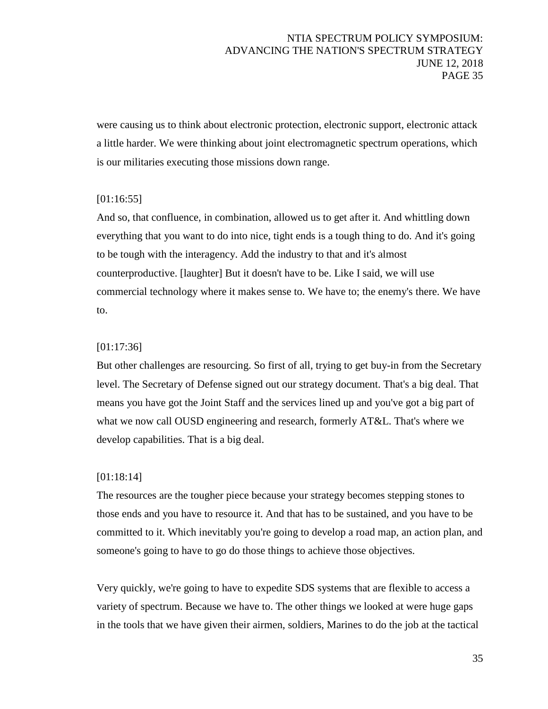were causing us to think about electronic protection, electronic support, electronic attack a little harder. We were thinking about joint electromagnetic spectrum operations, which is our militaries executing those missions down range.

# [01:16:55]

And so, that confluence, in combination, allowed us to get after it. And whittling down everything that you want to do into nice, tight ends is a tough thing to do. And it's going to be tough with the interagency. Add the industry to that and it's almost counterproductive. [laughter] But it doesn't have to be. Like I said, we will use commercial technology where it makes sense to. We have to; the enemy's there. We have to.

# [01:17:36]

But other challenges are resourcing. So first of all, trying to get buy-in from the Secretary level. The Secretary of Defense signed out our strategy document. That's a big deal. That means you have got the Joint Staff and the services lined up and you've got a big part of what we now call OUSD engineering and research, formerly AT&L. That's where we develop capabilities. That is a big deal.

# [01:18:14]

The resources are the tougher piece because your strategy becomes stepping stones to those ends and you have to resource it. And that has to be sustained, and you have to be committed to it. Which inevitably you're going to develop a road map, an action plan, and someone's going to have to go do those things to achieve those objectives.

Very quickly, we're going to have to expedite SDS systems that are flexible to access a variety of spectrum. Because we have to. The other things we looked at were huge gaps in the tools that we have given their airmen, soldiers, Marines to do the job at the tactical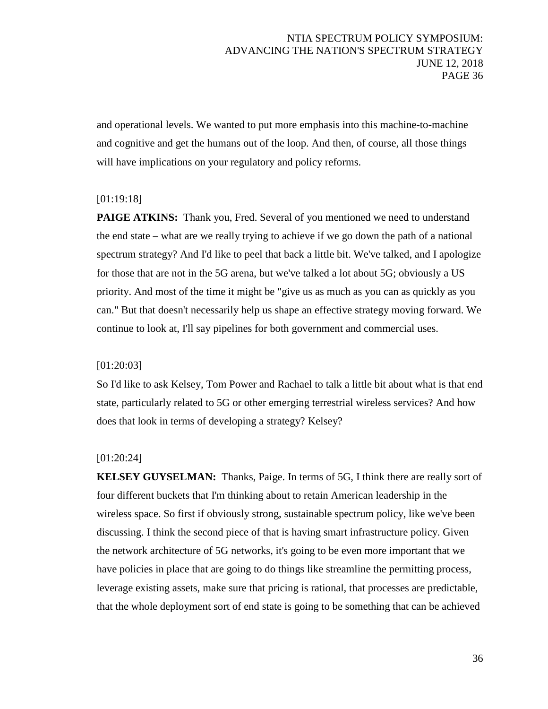and operational levels. We wanted to put more emphasis into this machine-to-machine and cognitive and get the humans out of the loop. And then, of course, all those things will have implications on your regulatory and policy reforms.

### [01:19:18]

**PAIGE ATKINS:** Thank you, Fred. Several of you mentioned we need to understand the end state – what are we really trying to achieve if we go down the path of a national spectrum strategy? And I'd like to peel that back a little bit. We've talked, and I apologize for those that are not in the 5G arena, but we've talked a lot about 5G; obviously a US priority. And most of the time it might be "give us as much as you can as quickly as you can." But that doesn't necessarily help us shape an effective strategy moving forward. We continue to look at, I'll say pipelines for both government and commercial uses.

### [01:20:03]

So I'd like to ask Kelsey, Tom Power and Rachael to talk a little bit about what is that end state, particularly related to 5G or other emerging terrestrial wireless services? And how does that look in terms of developing a strategy? Kelsey?

### [01:20:24]

**KELSEY GUYSELMAN:** Thanks, Paige. In terms of 5G, I think there are really sort of four different buckets that I'm thinking about to retain American leadership in the wireless space. So first if obviously strong, sustainable spectrum policy, like we've been discussing. I think the second piece of that is having smart infrastructure policy. Given the network architecture of 5G networks, it's going to be even more important that we have policies in place that are going to do things like streamline the permitting process, leverage existing assets, make sure that pricing is rational, that processes are predictable, that the whole deployment sort of end state is going to be something that can be achieved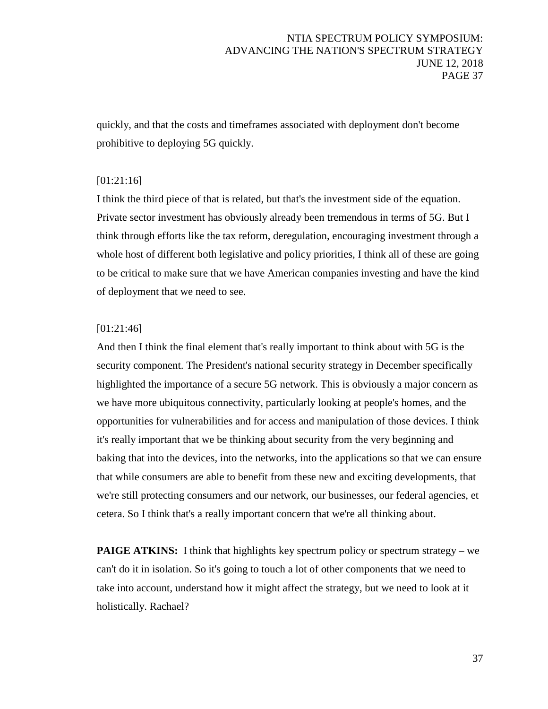quickly, and that the costs and timeframes associated with deployment don't become prohibitive to deploying 5G quickly.

# [01:21:16]

I think the third piece of that is related, but that's the investment side of the equation. Private sector investment has obviously already been tremendous in terms of 5G. But I think through efforts like the tax reform, deregulation, encouraging investment through a whole host of different both legislative and policy priorities, I think all of these are going to be critical to make sure that we have American companies investing and have the kind of deployment that we need to see.

# [01:21:46]

And then I think the final element that's really important to think about with 5G is the security component. The President's national security strategy in December specifically highlighted the importance of a secure 5G network. This is obviously a major concern as we have more ubiquitous connectivity, particularly looking at people's homes, and the opportunities for vulnerabilities and for access and manipulation of those devices. I think it's really important that we be thinking about security from the very beginning and baking that into the devices, into the networks, into the applications so that we can ensure that while consumers are able to benefit from these new and exciting developments, that we're still protecting consumers and our network, our businesses, our federal agencies, et cetera. So I think that's a really important concern that we're all thinking about.

**PAIGE ATKINS:** I think that highlights key spectrum policy or spectrum strategy – we can't do it in isolation. So it's going to touch a lot of other components that we need to take into account, understand how it might affect the strategy, but we need to look at it holistically. Rachael?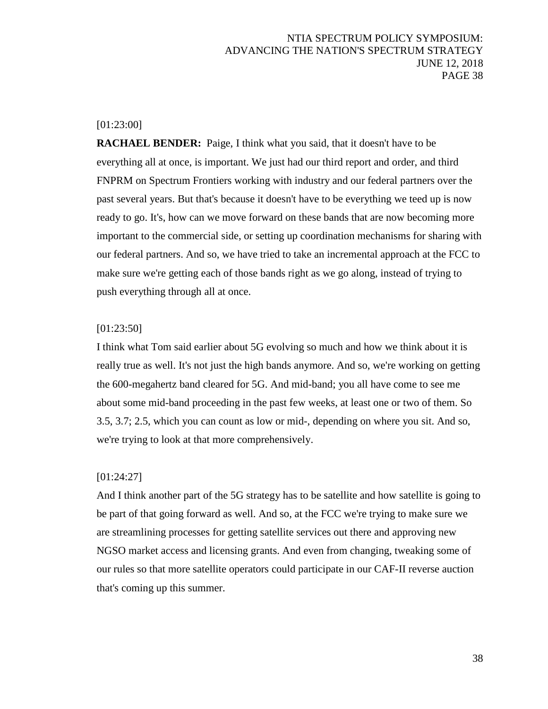### [01:23:00]

**RACHAEL BENDER:** Paige, I think what you said, that it doesn't have to be everything all at once, is important. We just had our third report and order, and third FNPRM on Spectrum Frontiers working with industry and our federal partners over the past several years. But that's because it doesn't have to be everything we teed up is now ready to go. It's, how can we move forward on these bands that are now becoming more important to the commercial side, or setting up coordination mechanisms for sharing with our federal partners. And so, we have tried to take an incremental approach at the FCC to make sure we're getting each of those bands right as we go along, instead of trying to push everything through all at once.

#### [01:23:50]

I think what Tom said earlier about 5G evolving so much and how we think about it is really true as well. It's not just the high bands anymore. And so, we're working on getting the 600-megahertz band cleared for 5G. And mid-band; you all have come to see me about some mid-band proceeding in the past few weeks, at least one or two of them. So 3.5, 3.7; 2.5, which you can count as low or mid-, depending on where you sit. And so, we're trying to look at that more comprehensively.

#### [01:24:27]

And I think another part of the 5G strategy has to be satellite and how satellite is going to be part of that going forward as well. And so, at the FCC we're trying to make sure we are streamlining processes for getting satellite services out there and approving new NGSO market access and licensing grants. And even from changing, tweaking some of our rules so that more satellite operators could participate in our CAF-II reverse auction that's coming up this summer.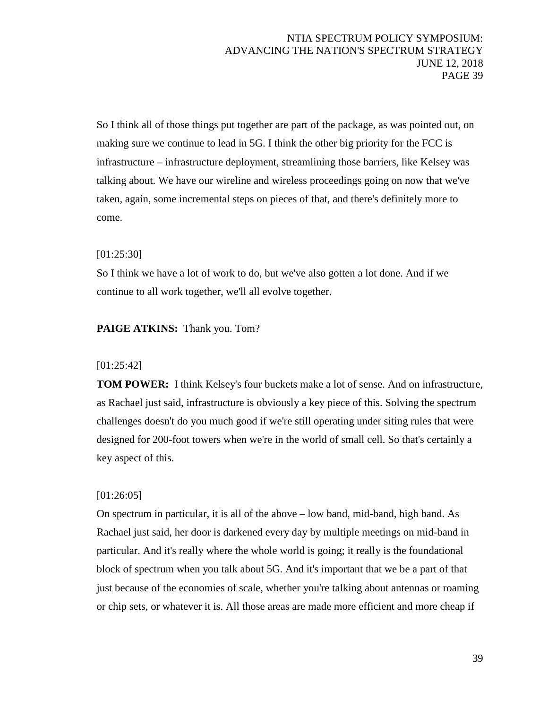So I think all of those things put together are part of the package, as was pointed out, on making sure we continue to lead in 5G. I think the other big priority for the FCC is infrastructure – infrastructure deployment, streamlining those barriers, like Kelsey was talking about. We have our wireline and wireless proceedings going on now that we've taken, again, some incremental steps on pieces of that, and there's definitely more to come.

# [01:25:30]

So I think we have a lot of work to do, but we've also gotten a lot done. And if we continue to all work together, we'll all evolve together.

### **PAIGE ATKINS:** Thank you. Tom?

### [01:25:42]

**TOM POWER:** I think Kelsey's four buckets make a lot of sense. And on infrastructure, as Rachael just said, infrastructure is obviously a key piece of this. Solving the spectrum challenges doesn't do you much good if we're still operating under siting rules that were designed for 200-foot towers when we're in the world of small cell. So that's certainly a key aspect of this.

### [01:26:05]

On spectrum in particular, it is all of the above – low band, mid-band, high band. As Rachael just said, her door is darkened every day by multiple meetings on mid-band in particular. And it's really where the whole world is going; it really is the foundational block of spectrum when you talk about 5G. And it's important that we be a part of that just because of the economies of scale, whether you're talking about antennas or roaming or chip sets, or whatever it is. All those areas are made more efficient and more cheap if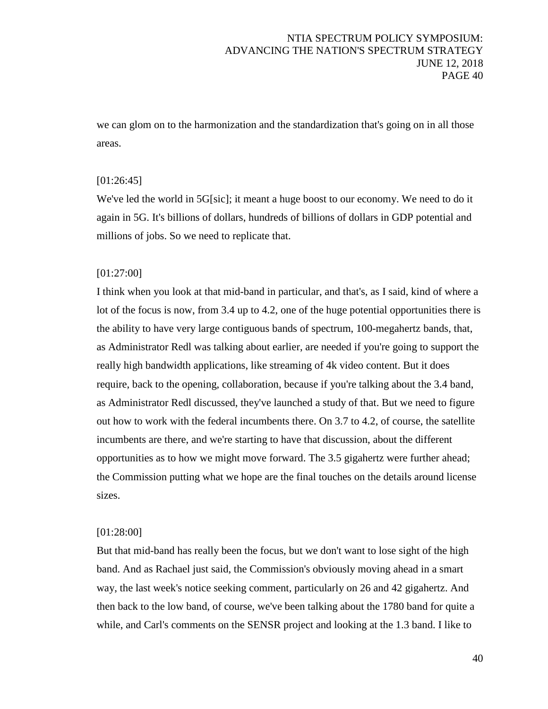we can glom on to the harmonization and the standardization that's going on in all those areas.

## [01:26:45]

We've led the world in 5G[sic]; it meant a huge boost to our economy. We need to do it again in 5G. It's billions of dollars, hundreds of billions of dollars in GDP potential and millions of jobs. So we need to replicate that.

### [01:27:00]

I think when you look at that mid-band in particular, and that's, as I said, kind of where a lot of the focus is now, from 3.4 up to 4.2, one of the huge potential opportunities there is the ability to have very large contiguous bands of spectrum, 100-megahertz bands, that, as Administrator Redl was talking about earlier, are needed if you're going to support the really high bandwidth applications, like streaming of 4k video content. But it does require, back to the opening, collaboration, because if you're talking about the 3.4 band, as Administrator Redl discussed, they've launched a study of that. But we need to figure out how to work with the federal incumbents there. On 3.7 to 4.2, of course, the satellite incumbents are there, and we're starting to have that discussion, about the different opportunities as to how we might move forward. The 3.5 gigahertz were further ahead; the Commission putting what we hope are the final touches on the details around license sizes.

### [01:28:00]

But that mid-band has really been the focus, but we don't want to lose sight of the high band. And as Rachael just said, the Commission's obviously moving ahead in a smart way, the last week's notice seeking comment, particularly on 26 and 42 gigahertz. And then back to the low band, of course, we've been talking about the 1780 band for quite a while, and Carl's comments on the SENSR project and looking at the 1.3 band. I like to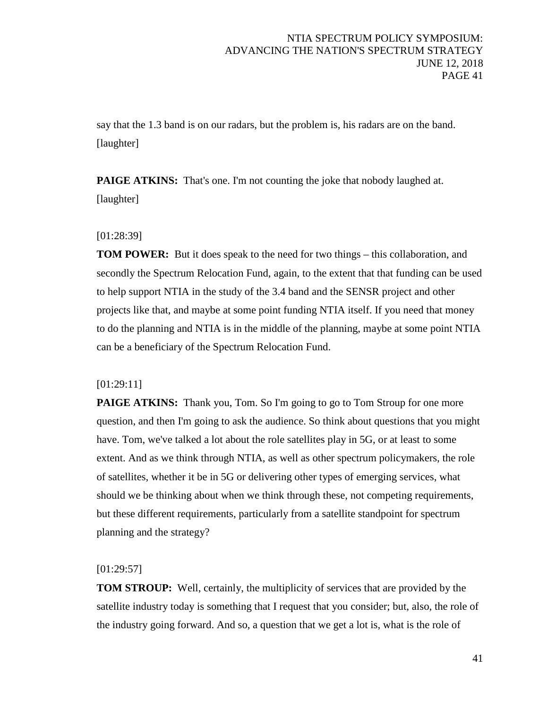say that the 1.3 band is on our radars, but the problem is, his radars are on the band. [laughter]

**PAIGE ATKINS:** That's one. I'm not counting the joke that nobody laughed at. [laughter]

# [01:28:39]

**TOM POWER:** But it does speak to the need for two things – this collaboration, and secondly the Spectrum Relocation Fund, again, to the extent that that funding can be used to help support NTIA in the study of the 3.4 band and the SENSR project and other projects like that, and maybe at some point funding NTIA itself. If you need that money to do the planning and NTIA is in the middle of the planning, maybe at some point NTIA can be a beneficiary of the Spectrum Relocation Fund.

# [01:29:11]

**PAIGE ATKINS:** Thank you, Tom. So I'm going to go to Tom Stroup for one more question, and then I'm going to ask the audience. So think about questions that you might have. Tom, we've talked a lot about the role satellites play in 5G, or at least to some extent. And as we think through NTIA, as well as other spectrum policymakers, the role of satellites, whether it be in 5G or delivering other types of emerging services, what should we be thinking about when we think through these, not competing requirements, but these different requirements, particularly from a satellite standpoint for spectrum planning and the strategy?

# [01:29:57]

**TOM STROUP:** Well, certainly, the multiplicity of services that are provided by the satellite industry today is something that I request that you consider; but, also, the role of the industry going forward. And so, a question that we get a lot is, what is the role of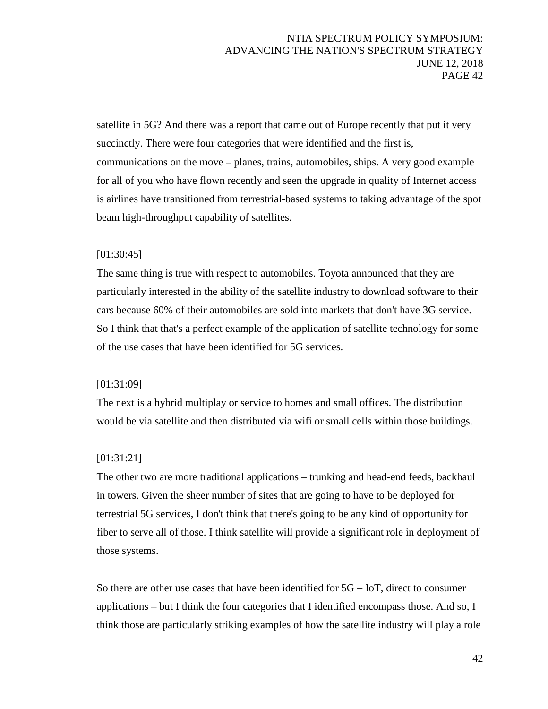satellite in 5G? And there was a report that came out of Europe recently that put it very succinctly. There were four categories that were identified and the first is, communications on the move – planes, trains, automobiles, ships. A very good example for all of you who have flown recently and seen the upgrade in quality of Internet access is airlines have transitioned from terrestrial-based systems to taking advantage of the spot beam high-throughput capability of satellites.

### [01:30:45]

The same thing is true with respect to automobiles. Toyota announced that they are particularly interested in the ability of the satellite industry to download software to their cars because 60% of their automobiles are sold into markets that don't have 3G service. So I think that that's a perfect example of the application of satellite technology for some of the use cases that have been identified for 5G services.

### [01:31:09]

The next is a hybrid multiplay or service to homes and small offices. The distribution would be via satellite and then distributed via wifi or small cells within those buildings.

# [01:31:21]

The other two are more traditional applications – trunking and head-end feeds, backhaul in towers. Given the sheer number of sites that are going to have to be deployed for terrestrial 5G services, I don't think that there's going to be any kind of opportunity for fiber to serve all of those. I think satellite will provide a significant role in deployment of those systems.

So there are other use cases that have been identified for 5G – IoT, direct to consumer applications – but I think the four categories that I identified encompass those. And so, I think those are particularly striking examples of how the satellite industry will play a role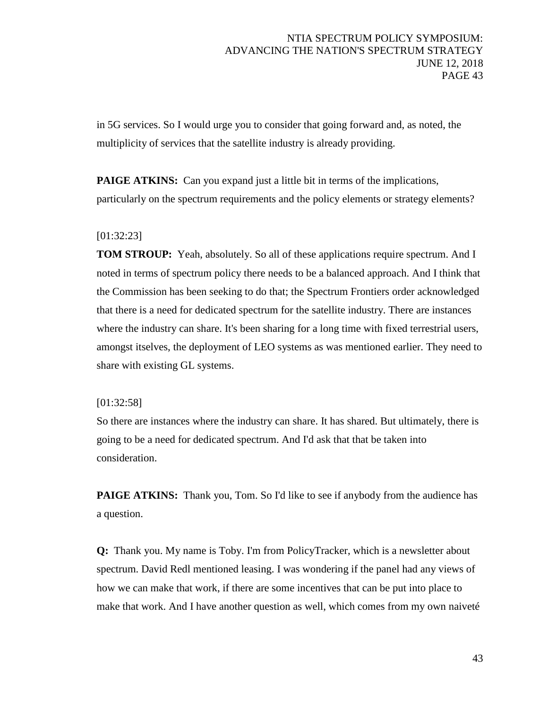in 5G services. So I would urge you to consider that going forward and, as noted, the multiplicity of services that the satellite industry is already providing.

**PAIGE ATKINS:** Can you expand just a little bit in terms of the implications, particularly on the spectrum requirements and the policy elements or strategy elements?

# [01:32:23]

**TOM STROUP:** Yeah, absolutely. So all of these applications require spectrum. And I noted in terms of spectrum policy there needs to be a balanced approach. And I think that the Commission has been seeking to do that; the Spectrum Frontiers order acknowledged that there is a need for dedicated spectrum for the satellite industry. There are instances where the industry can share. It's been sharing for a long time with fixed terrestrial users, amongst itselves, the deployment of LEO systems as was mentioned earlier. They need to share with existing GL systems.

### [01:32:58]

So there are instances where the industry can share. It has shared. But ultimately, there is going to be a need for dedicated spectrum. And I'd ask that that be taken into consideration.

**PAIGE ATKINS:** Thank you, Tom. So I'd like to see if anybody from the audience has a question.

**Q:** Thank you. My name is Toby. I'm from PolicyTracker, which is a newsletter about spectrum. David Redl mentioned leasing. I was wondering if the panel had any views of how we can make that work, if there are some incentives that can be put into place to make that work. And I have another question as well, which comes from my own naiveté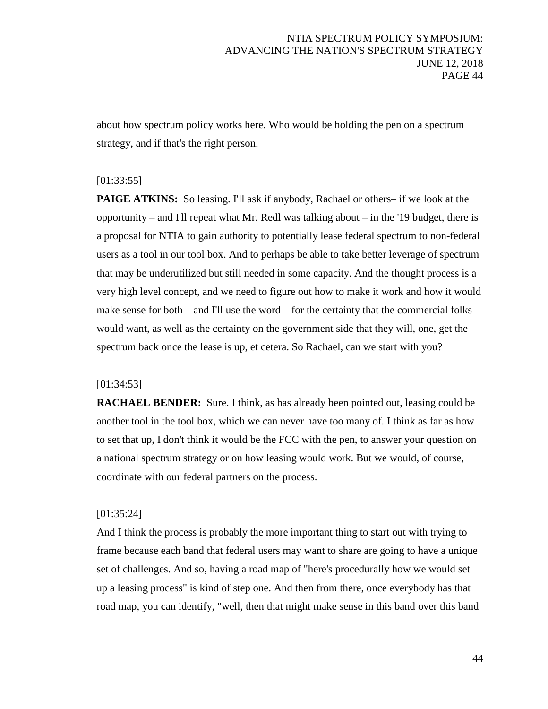about how spectrum policy works here. Who would be holding the pen on a spectrum strategy, and if that's the right person.

### [01:33:55]

**PAIGE ATKINS:** So leasing. I'll ask if anybody, Rachael or others– if we look at the opportunity – and I'll repeat what Mr. Redl was talking about – in the '19 budget, there is a proposal for NTIA to gain authority to potentially lease federal spectrum to non-federal users as a tool in our tool box. And to perhaps be able to take better leverage of spectrum that may be underutilized but still needed in some capacity. And the thought process is a very high level concept, and we need to figure out how to make it work and how it would make sense for both – and I'll use the word – for the certainty that the commercial folks would want, as well as the certainty on the government side that they will, one, get the spectrum back once the lease is up, et cetera. So Rachael, can we start with you?

### [01:34:53]

**RACHAEL BENDER:** Sure. I think, as has already been pointed out, leasing could be another tool in the tool box, which we can never have too many of. I think as far as how to set that up, I don't think it would be the FCC with the pen, to answer your question on a national spectrum strategy or on how leasing would work. But we would, of course, coordinate with our federal partners on the process.

#### [01:35:24]

And I think the process is probably the more important thing to start out with trying to frame because each band that federal users may want to share are going to have a unique set of challenges. And so, having a road map of "here's procedurally how we would set up a leasing process" is kind of step one. And then from there, once everybody has that road map, you can identify, "well, then that might make sense in this band over this band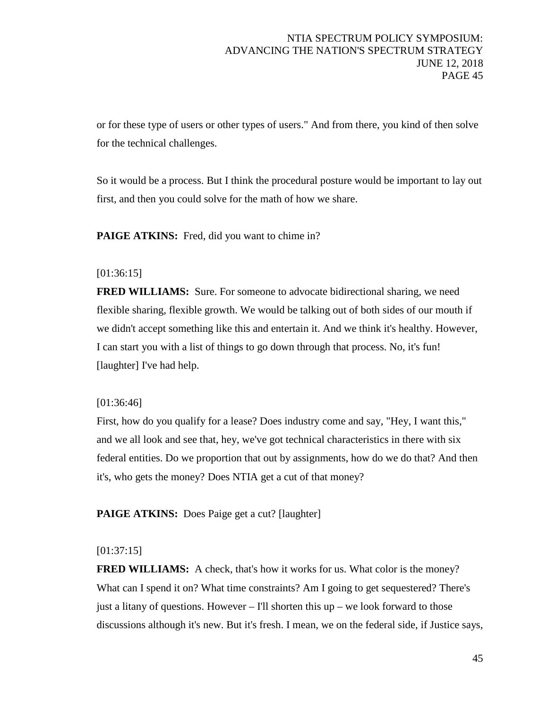or for these type of users or other types of users." And from there, you kind of then solve for the technical challenges.

So it would be a process. But I think the procedural posture would be important to lay out first, and then you could solve for the math of how we share.

**PAIGE ATKINS:** Fred, did you want to chime in?

# [01:36:15]

**FRED WILLIAMS:** Sure. For someone to advocate bidirectional sharing, we need flexible sharing, flexible growth. We would be talking out of both sides of our mouth if we didn't accept something like this and entertain it. And we think it's healthy. However, I can start you with a list of things to go down through that process. No, it's fun! [laughter] I've had help.

### [01:36:46]

First, how do you qualify for a lease? Does industry come and say, "Hey, I want this," and we all look and see that, hey, we've got technical characteristics in there with six federal entities. Do we proportion that out by assignments, how do we do that? And then it's, who gets the money? Does NTIA get a cut of that money?

**PAIGE ATKINS:** Does Paige get a cut? [laughter]

### [01:37:15]

**FRED WILLIAMS:** A check, that's how it works for us. What color is the money? What can I spend it on? What time constraints? Am I going to get sequestered? There's just a litany of questions. However – I'll shorten this  $up - we look forward to those$ discussions although it's new. But it's fresh. I mean, we on the federal side, if Justice says,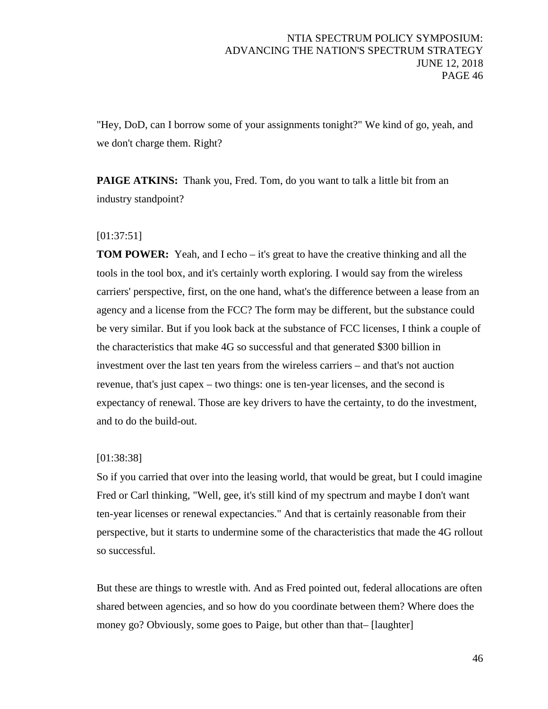"Hey, DoD, can I borrow some of your assignments tonight?" We kind of go, yeah, and we don't charge them. Right?

**PAIGE ATKINS:** Thank you, Fred. Tom, do you want to talk a little bit from an industry standpoint?

# [01:37:51]

**TOM POWER:** Yeah, and I echo – it's great to have the creative thinking and all the tools in the tool box, and it's certainly worth exploring. I would say from the wireless carriers' perspective, first, on the one hand, what's the difference between a lease from an agency and a license from the FCC? The form may be different, but the substance could be very similar. But if you look back at the substance of FCC licenses, I think a couple of the characteristics that make 4G so successful and that generated \$300 billion in investment over the last ten years from the wireless carriers – and that's not auction revenue, that's just capex – two things: one is ten-year licenses, and the second is expectancy of renewal. Those are key drivers to have the certainty, to do the investment, and to do the build-out.

### [01:38:38]

So if you carried that over into the leasing world, that would be great, but I could imagine Fred or Carl thinking, "Well, gee, it's still kind of my spectrum and maybe I don't want ten-year licenses or renewal expectancies." And that is certainly reasonable from their perspective, but it starts to undermine some of the characteristics that made the 4G rollout so successful.

But these are things to wrestle with. And as Fred pointed out, federal allocations are often shared between agencies, and so how do you coordinate between them? Where does the money go? Obviously, some goes to Paige, but other than that– [laughter]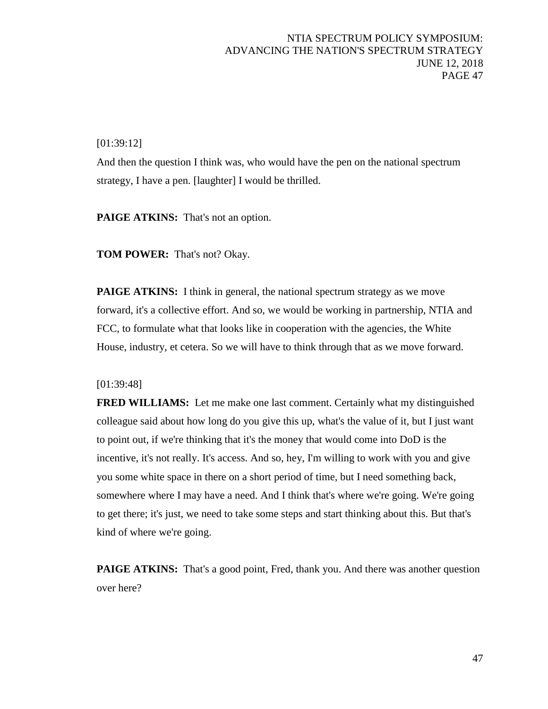[01:39:12]

And then the question I think was, who would have the pen on the national spectrum strategy, I have a pen. [laughter] I would be thrilled.

PAIGE ATKINS: That's not an option.

**TOM POWER:** That's not? Okay.

**PAIGE ATKINS:** I think in general, the national spectrum strategy as we move forward, it's a collective effort. And so, we would be working in partnership, NTIA and FCC, to formulate what that looks like in cooperation with the agencies, the White House, industry, et cetera. So we will have to think through that as we move forward.

### [01:39:48]

**FRED WILLIAMS:** Let me make one last comment. Certainly what my distinguished colleague said about how long do you give this up, what's the value of it, but I just want to point out, if we're thinking that it's the money that would come into DoD is the incentive, it's not really. It's access. And so, hey, I'm willing to work with you and give you some white space in there on a short period of time, but I need something back, somewhere where I may have a need. And I think that's where we're going. We're going to get there; it's just, we need to take some steps and start thinking about this. But that's kind of where we're going.

**PAIGE ATKINS:** That's a good point, Fred, thank you. And there was another question over here?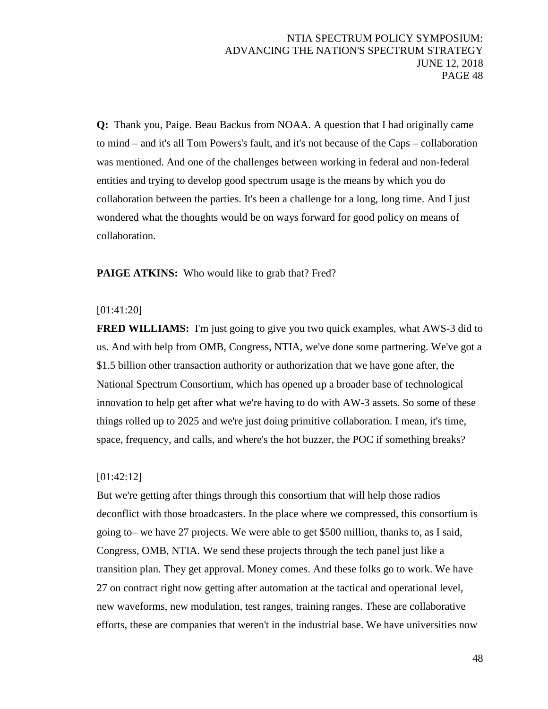**Q:** Thank you, Paige. Beau Backus from NOAA. A question that I had originally came to mind – and it's all Tom Powers's fault, and it's not because of the Caps – collaboration was mentioned. And one of the challenges between working in federal and non-federal entities and trying to develop good spectrum usage is the means by which you do collaboration between the parties. It's been a challenge for a long, long time. And I just wondered what the thoughts would be on ways forward for good policy on means of collaboration.

PAIGE ATKINS: Who would like to grab that? Fred?

### [01:41:20]

**FRED WILLIAMS:** I'm just going to give you two quick examples, what AWS-3 did to us. And with help from OMB, Congress, NTIA, we've done some partnering. We've got a \$1.5 billion other transaction authority or authorization that we have gone after, the National Spectrum Consortium, which has opened up a broader base of technological innovation to help get after what we're having to do with AW-3 assets. So some of these things rolled up to 2025 and we're just doing primitive collaboration. I mean, it's time, space, frequency, and calls, and where's the hot buzzer, the POC if something breaks?

#### [01:42:12]

But we're getting after things through this consortium that will help those radios deconflict with those broadcasters. In the place where we compressed, this consortium is going to– we have 27 projects. We were able to get \$500 million, thanks to, as I said, Congress, OMB, NTIA. We send these projects through the tech panel just like a transition plan. They get approval. Money comes. And these folks go to work. We have 27 on contract right now getting after automation at the tactical and operational level, new waveforms, new modulation, test ranges, training ranges. These are collaborative efforts, these are companies that weren't in the industrial base. We have universities now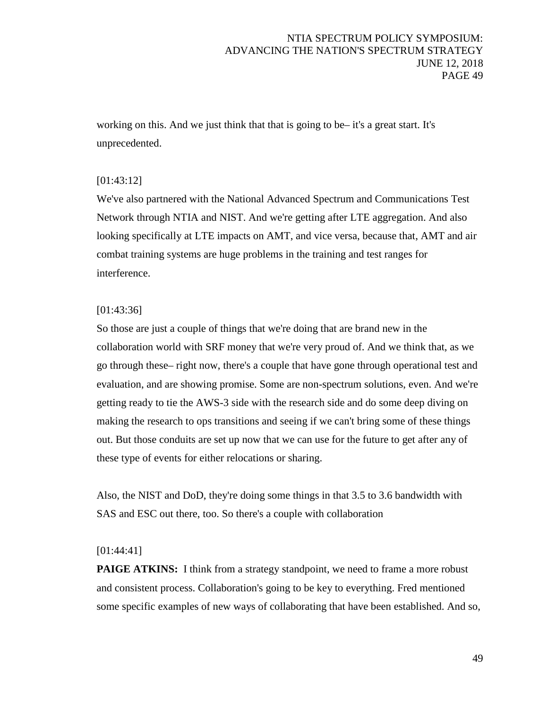working on this. And we just think that that is going to be– it's a great start. It's unprecedented.

# [01:43:12]

We've also partnered with the National Advanced Spectrum and Communications Test Network through NTIA and NIST. And we're getting after LTE aggregation. And also looking specifically at LTE impacts on AMT, and vice versa, because that, AMT and air combat training systems are huge problems in the training and test ranges for interference.

# [01:43:36]

So those are just a couple of things that we're doing that are brand new in the collaboration world with SRF money that we're very proud of. And we think that, as we go through these– right now, there's a couple that have gone through operational test and evaluation, and are showing promise. Some are non-spectrum solutions, even. And we're getting ready to tie the AWS-3 side with the research side and do some deep diving on making the research to ops transitions and seeing if we can't bring some of these things out. But those conduits are set up now that we can use for the future to get after any of these type of events for either relocations or sharing.

Also, the NIST and DoD, they're doing some things in that 3.5 to 3.6 bandwidth with SAS and ESC out there, too. So there's a couple with collaboration

# [01:44:41]

**PAIGE ATKINS:** I think from a strategy standpoint, we need to frame a more robust and consistent process. Collaboration's going to be key to everything. Fred mentioned some specific examples of new ways of collaborating that have been established. And so,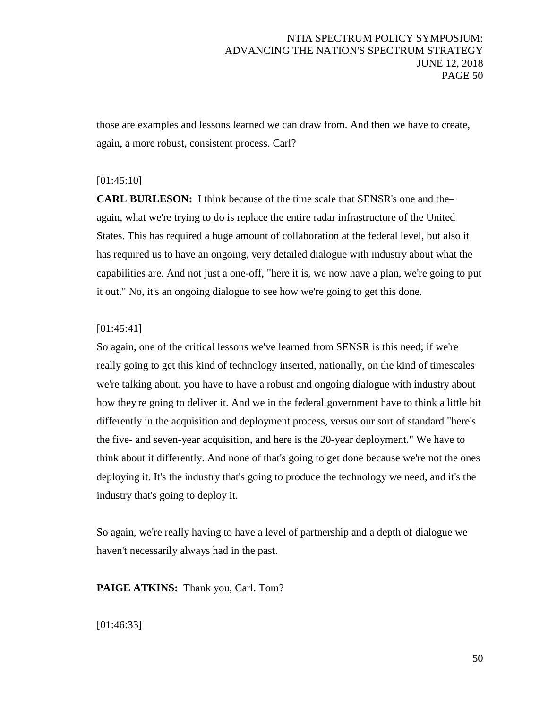those are examples and lessons learned we can draw from. And then we have to create, again, a more robust, consistent process. Carl?

### [01:45:10]

**CARL BURLESON:** I think because of the time scale that SENSR's one and the– again, what we're trying to do is replace the entire radar infrastructure of the United States. This has required a huge amount of collaboration at the federal level, but also it has required us to have an ongoing, very detailed dialogue with industry about what the capabilities are. And not just a one-off, "here it is, we now have a plan, we're going to put it out." No, it's an ongoing dialogue to see how we're going to get this done.

### [01:45:41]

So again, one of the critical lessons we've learned from SENSR is this need; if we're really going to get this kind of technology inserted, nationally, on the kind of timescales we're talking about, you have to have a robust and ongoing dialogue with industry about how they're going to deliver it. And we in the federal government have to think a little bit differently in the acquisition and deployment process, versus our sort of standard "here's the five- and seven-year acquisition, and here is the 20-year deployment." We have to think about it differently. And none of that's going to get done because we're not the ones deploying it. It's the industry that's going to produce the technology we need, and it's the industry that's going to deploy it.

So again, we're really having to have a level of partnership and a depth of dialogue we haven't necessarily always had in the past.

**PAIGE ATKINS:** Thank you, Carl. Tom?

[01:46:33]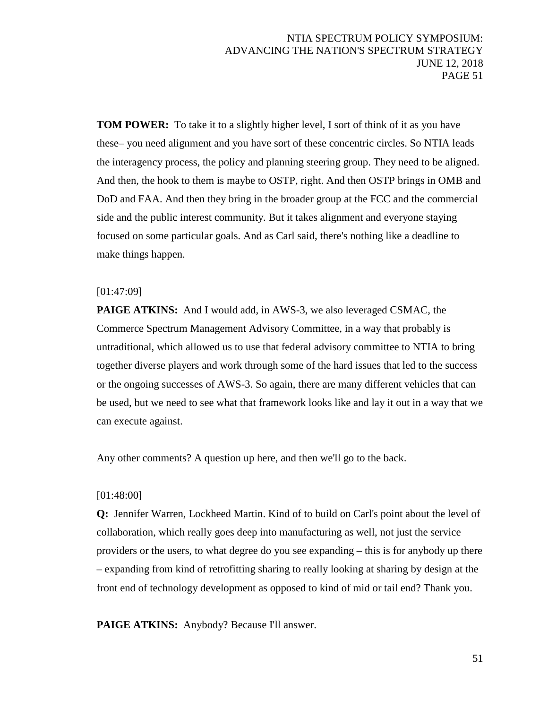**TOM POWER:** To take it to a slightly higher level, I sort of think of it as you have these– you need alignment and you have sort of these concentric circles. So NTIA leads the interagency process, the policy and planning steering group. They need to be aligned. And then, the hook to them is maybe to OSTP, right. And then OSTP brings in OMB and DoD and FAA. And then they bring in the broader group at the FCC and the commercial side and the public interest community. But it takes alignment and everyone staying focused on some particular goals. And as Carl said, there's nothing like a deadline to make things happen.

### [01:47:09]

**PAIGE ATKINS:** And I would add, in AWS-3, we also leveraged CSMAC, the Commerce Spectrum Management Advisory Committee, in a way that probably is untraditional, which allowed us to use that federal advisory committee to NTIA to bring together diverse players and work through some of the hard issues that led to the success or the ongoing successes of AWS-3. So again, there are many different vehicles that can be used, but we need to see what that framework looks like and lay it out in a way that we can execute against.

Any other comments? A question up here, and then we'll go to the back.

#### [01:48:00]

**Q:** Jennifer Warren, Lockheed Martin. Kind of to build on Carl's point about the level of collaboration, which really goes deep into manufacturing as well, not just the service providers or the users, to what degree do you see expanding – this is for anybody up there – expanding from kind of retrofitting sharing to really looking at sharing by design at the front end of technology development as opposed to kind of mid or tail end? Thank you.

PAIGE ATKINS: Anybody? Because I'll answer.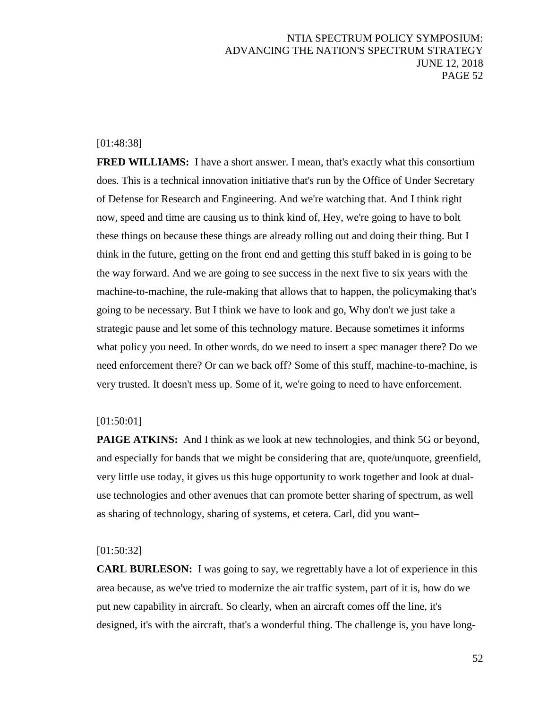### [01:48:38]

**FRED WILLIAMS:** I have a short answer. I mean, that's exactly what this consortium does. This is a technical innovation initiative that's run by the Office of Under Secretary of Defense for Research and Engineering. And we're watching that. And I think right now, speed and time are causing us to think kind of, Hey, we're going to have to bolt these things on because these things are already rolling out and doing their thing. But I think in the future, getting on the front end and getting this stuff baked in is going to be the way forward. And we are going to see success in the next five to six years with the machine-to-machine, the rule-making that allows that to happen, the policymaking that's going to be necessary. But I think we have to look and go, Why don't we just take a strategic pause and let some of this technology mature. Because sometimes it informs what policy you need. In other words, do we need to insert a spec manager there? Do we need enforcement there? Or can we back off? Some of this stuff, machine-to-machine, is very trusted. It doesn't mess up. Some of it, we're going to need to have enforcement.

#### [01:50:01]

**PAIGE ATKINS:** And I think as we look at new technologies, and think 5G or beyond, and especially for bands that we might be considering that are, quote/unquote, greenfield, very little use today, it gives us this huge opportunity to work together and look at dualuse technologies and other avenues that can promote better sharing of spectrum, as well as sharing of technology, sharing of systems, et cetera. Carl, did you want–

#### [01:50:32]

**CARL BURLESON:** I was going to say, we regrettably have a lot of experience in this area because, as we've tried to modernize the air traffic system, part of it is, how do we put new capability in aircraft. So clearly, when an aircraft comes off the line, it's designed, it's with the aircraft, that's a wonderful thing. The challenge is, you have long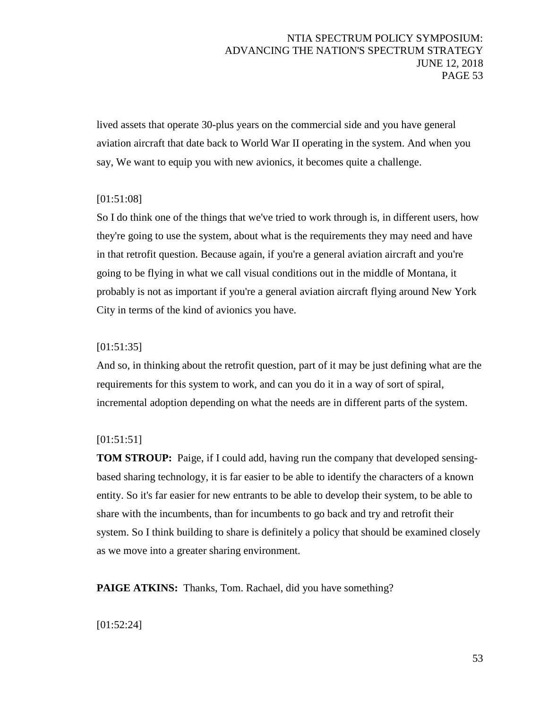lived assets that operate 30-plus years on the commercial side and you have general aviation aircraft that date back to World War II operating in the system. And when you say, We want to equip you with new avionics, it becomes quite a challenge.

# [01:51:08]

So I do think one of the things that we've tried to work through is, in different users, how they're going to use the system, about what is the requirements they may need and have in that retrofit question. Because again, if you're a general aviation aircraft and you're going to be flying in what we call visual conditions out in the middle of Montana, it probably is not as important if you're a general aviation aircraft flying around New York City in terms of the kind of avionics you have.

### [01:51:35]

And so, in thinking about the retrofit question, part of it may be just defining what are the requirements for this system to work, and can you do it in a way of sort of spiral, incremental adoption depending on what the needs are in different parts of the system.

### [01:51:51]

**TOM STROUP:** Paige, if I could add, having run the company that developed sensingbased sharing technology, it is far easier to be able to identify the characters of a known entity. So it's far easier for new entrants to be able to develop their system, to be able to share with the incumbents, than for incumbents to go back and try and retrofit their system. So I think building to share is definitely a policy that should be examined closely as we move into a greater sharing environment.

**PAIGE ATKINS:** Thanks, Tom. Rachael, did you have something?

### [01:52:24]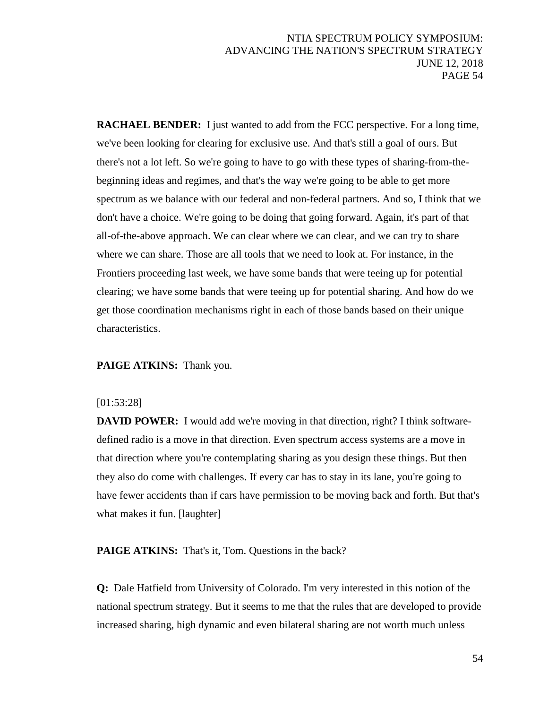**RACHAEL BENDER:** I just wanted to add from the FCC perspective. For a long time, we've been looking for clearing for exclusive use. And that's still a goal of ours. But there's not a lot left. So we're going to have to go with these types of sharing-from-thebeginning ideas and regimes, and that's the way we're going to be able to get more spectrum as we balance with our federal and non-federal partners. And so, I think that we don't have a choice. We're going to be doing that going forward. Again, it's part of that all-of-the-above approach. We can clear where we can clear, and we can try to share where we can share. Those are all tools that we need to look at. For instance, in the Frontiers proceeding last week, we have some bands that were teeing up for potential clearing; we have some bands that were teeing up for potential sharing. And how do we get those coordination mechanisms right in each of those bands based on their unique characteristics.

**PAIGE ATKINS:** Thank you.

#### [01:53:28]

**DAVID POWER:** I would add we're moving in that direction, right? I think softwaredefined radio is a move in that direction. Even spectrum access systems are a move in that direction where you're contemplating sharing as you design these things. But then they also do come with challenges. If every car has to stay in its lane, you're going to have fewer accidents than if cars have permission to be moving back and forth. But that's what makes it fun. [laughter]

**PAIGE ATKINS:** That's it, Tom. Questions in the back?

**Q:** Dale Hatfield from University of Colorado. I'm very interested in this notion of the national spectrum strategy. But it seems to me that the rules that are developed to provide increased sharing, high dynamic and even bilateral sharing are not worth much unless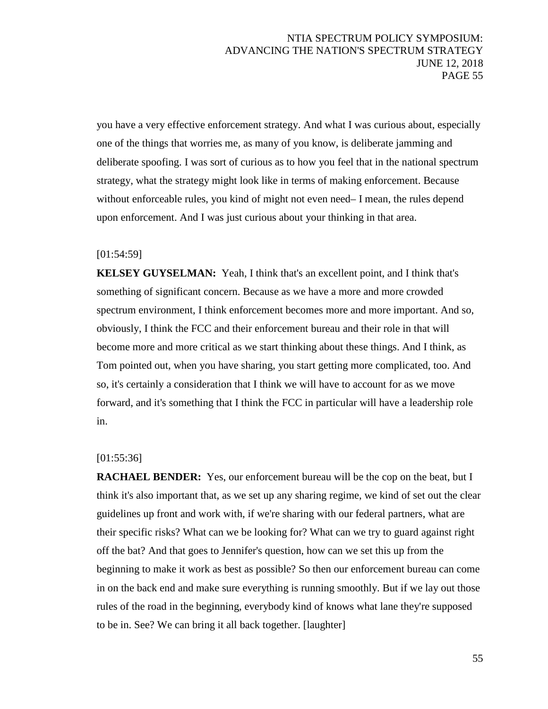you have a very effective enforcement strategy. And what I was curious about, especially one of the things that worries me, as many of you know, is deliberate jamming and deliberate spoofing. I was sort of curious as to how you feel that in the national spectrum strategy, what the strategy might look like in terms of making enforcement. Because without enforceable rules, you kind of might not even need– I mean, the rules depend upon enforcement. And I was just curious about your thinking in that area.

### [01:54:59]

**KELSEY GUYSELMAN:** Yeah, I think that's an excellent point, and I think that's something of significant concern. Because as we have a more and more crowded spectrum environment, I think enforcement becomes more and more important. And so, obviously, I think the FCC and their enforcement bureau and their role in that will become more and more critical as we start thinking about these things. And I think, as Tom pointed out, when you have sharing, you start getting more complicated, too. And so, it's certainly a consideration that I think we will have to account for as we move forward, and it's something that I think the FCC in particular will have a leadership role in.

#### [01:55:36]

**RACHAEL BENDER:** Yes, our enforcement bureau will be the cop on the beat, but I think it's also important that, as we set up any sharing regime, we kind of set out the clear guidelines up front and work with, if we're sharing with our federal partners, what are their specific risks? What can we be looking for? What can we try to guard against right off the bat? And that goes to Jennifer's question, how can we set this up from the beginning to make it work as best as possible? So then our enforcement bureau can come in on the back end and make sure everything is running smoothly. But if we lay out those rules of the road in the beginning, everybody kind of knows what lane they're supposed to be in. See? We can bring it all back together. [laughter]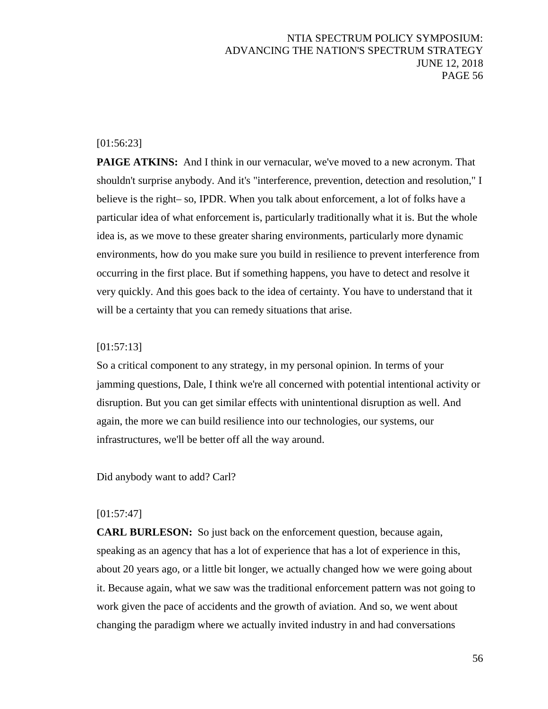### [01:56:23]

**PAIGE ATKINS:** And I think in our vernacular, we've moved to a new acronym. That shouldn't surprise anybody. And it's "interference, prevention, detection and resolution," I believe is the right– so, IPDR. When you talk about enforcement, a lot of folks have a particular idea of what enforcement is, particularly traditionally what it is. But the whole idea is, as we move to these greater sharing environments, particularly more dynamic environments, how do you make sure you build in resilience to prevent interference from occurring in the first place. But if something happens, you have to detect and resolve it very quickly. And this goes back to the idea of certainty. You have to understand that it will be a certainty that you can remedy situations that arise.

# [01:57:13]

So a critical component to any strategy, in my personal opinion. In terms of your jamming questions, Dale, I think we're all concerned with potential intentional activity or disruption. But you can get similar effects with unintentional disruption as well. And again, the more we can build resilience into our technologies, our systems, our infrastructures, we'll be better off all the way around.

Did anybody want to add? Carl?

#### [01:57:47]

**CARL BURLESON:** So just back on the enforcement question, because again, speaking as an agency that has a lot of experience that has a lot of experience in this, about 20 years ago, or a little bit longer, we actually changed how we were going about it. Because again, what we saw was the traditional enforcement pattern was not going to work given the pace of accidents and the growth of aviation. And so, we went about changing the paradigm where we actually invited industry in and had conversations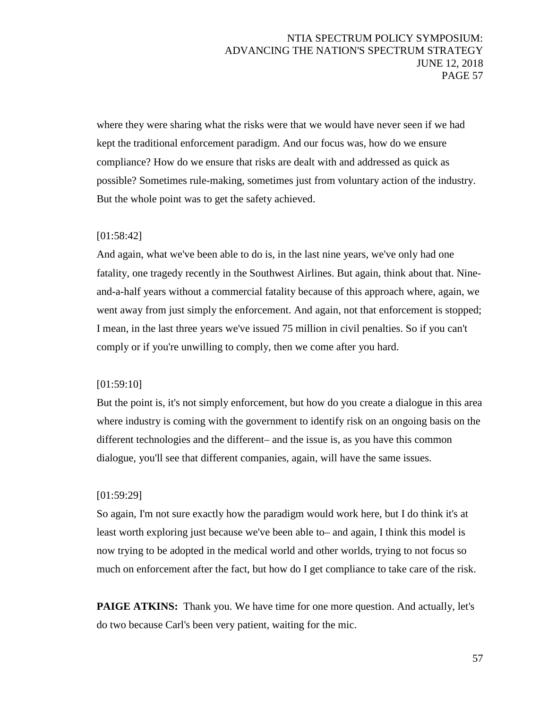where they were sharing what the risks were that we would have never seen if we had kept the traditional enforcement paradigm. And our focus was, how do we ensure compliance? How do we ensure that risks are dealt with and addressed as quick as possible? Sometimes rule-making, sometimes just from voluntary action of the industry. But the whole point was to get the safety achieved.

### [01:58:42]

And again, what we've been able to do is, in the last nine years, we've only had one fatality, one tragedy recently in the Southwest Airlines. But again, think about that. Nineand-a-half years without a commercial fatality because of this approach where, again, we went away from just simply the enforcement. And again, not that enforcement is stopped; I mean, in the last three years we've issued 75 million in civil penalties. So if you can't comply or if you're unwilling to comply, then we come after you hard.

### [01:59:10]

But the point is, it's not simply enforcement, but how do you create a dialogue in this area where industry is coming with the government to identify risk on an ongoing basis on the different technologies and the different– and the issue is, as you have this common dialogue, you'll see that different companies, again, will have the same issues.

### [01:59:29]

So again, I'm not sure exactly how the paradigm would work here, but I do think it's at least worth exploring just because we've been able to– and again, I think this model is now trying to be adopted in the medical world and other worlds, trying to not focus so much on enforcement after the fact, but how do I get compliance to take care of the risk.

**PAIGE ATKINS:** Thank you. We have time for one more question. And actually, let's do two because Carl's been very patient, waiting for the mic.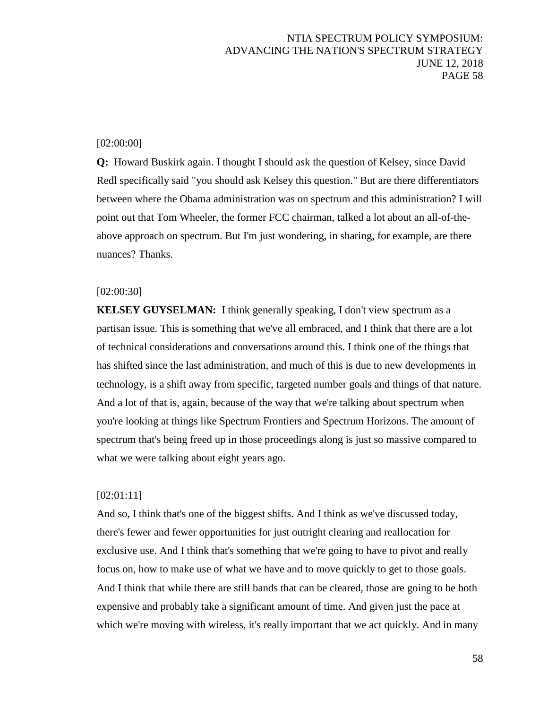# [02:00:00]

**Q:** Howard Buskirk again. I thought I should ask the question of Kelsey, since David Redl specifically said "you should ask Kelsey this question." But are there differentiators between where the Obama administration was on spectrum and this administration? I will point out that Tom Wheeler, the former FCC chairman, talked a lot about an all-of-theabove approach on spectrum. But I'm just wondering, in sharing, for example, are there nuances? Thanks.

### [02:00:30]

**KELSEY GUYSELMAN:** I think generally speaking, I don't view spectrum as a partisan issue. This is something that we've all embraced, and I think that there are a lot of technical considerations and conversations around this. I think one of the things that has shifted since the last administration, and much of this is due to new developments in technology, is a shift away from specific, targeted number goals and things of that nature. And a lot of that is, again, because of the way that we're talking about spectrum when you're looking at things like Spectrum Frontiers and Spectrum Horizons. The amount of spectrum that's being freed up in those proceedings along is just so massive compared to what we were talking about eight years ago.

### [02:01:11]

And so, I think that's one of the biggest shifts. And I think as we've discussed today, there's fewer and fewer opportunities for just outright clearing and reallocation for exclusive use. And I think that's something that we're going to have to pivot and really focus on, how to make use of what we have and to move quickly to get to those goals. And I think that while there are still bands that can be cleared, those are going to be both expensive and probably take a significant amount of time. And given just the pace at which we're moving with wireless, it's really important that we act quickly. And in many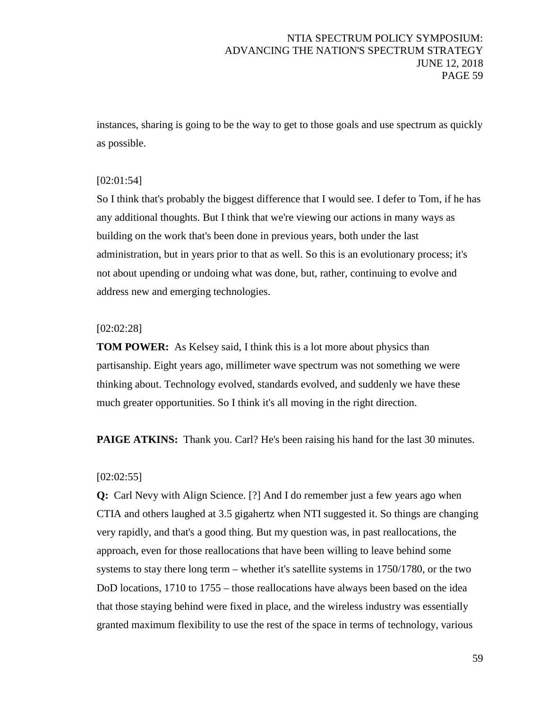instances, sharing is going to be the way to get to those goals and use spectrum as quickly as possible.

# [02:01:54]

So I think that's probably the biggest difference that I would see. I defer to Tom, if he has any additional thoughts. But I think that we're viewing our actions in many ways as building on the work that's been done in previous years, both under the last administration, but in years prior to that as well. So this is an evolutionary process; it's not about upending or undoing what was done, but, rather, continuing to evolve and address new and emerging technologies.

#### [02:02:28]

**TOM POWER:** As Kelsey said, I think this is a lot more about physics than partisanship. Eight years ago, millimeter wave spectrum was not something we were thinking about. Technology evolved, standards evolved, and suddenly we have these much greater opportunities. So I think it's all moving in the right direction.

**PAIGE ATKINS:** Thank you. Carl? He's been raising his hand for the last 30 minutes.

### [02:02:55]

**Q:** Carl Nevy with Align Science. [?] And I do remember just a few years ago when CTIA and others laughed at 3.5 gigahertz when NTI suggested it. So things are changing very rapidly, and that's a good thing. But my question was, in past reallocations, the approach, even for those reallocations that have been willing to leave behind some systems to stay there long term – whether it's satellite systems in 1750/1780, or the two DoD locations, 1710 to 1755 – those reallocations have always been based on the idea that those staying behind were fixed in place, and the wireless industry was essentially granted maximum flexibility to use the rest of the space in terms of technology, various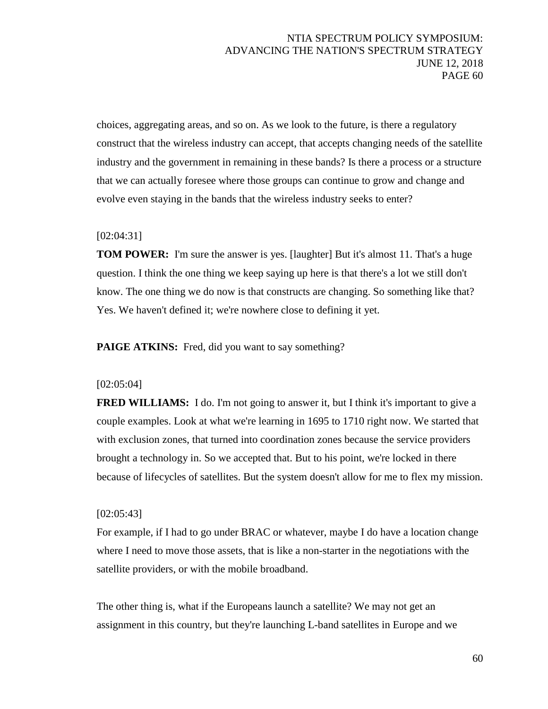choices, aggregating areas, and so on. As we look to the future, is there a regulatory construct that the wireless industry can accept, that accepts changing needs of the satellite industry and the government in remaining in these bands? Is there a process or a structure that we can actually foresee where those groups can continue to grow and change and evolve even staying in the bands that the wireless industry seeks to enter?

### [02:04:31]

**TOM POWER:** I'm sure the answer is yes. [laughter] But it's almost 11. That's a huge question. I think the one thing we keep saying up here is that there's a lot we still don't know. The one thing we do now is that constructs are changing. So something like that? Yes. We haven't defined it; we're nowhere close to defining it yet.

**PAIGE ATKINS:** Fred, did you want to say something?

### [02:05:04]

**FRED WILLIAMS:** I do. I'm not going to answer it, but I think it's important to give a couple examples. Look at what we're learning in 1695 to 1710 right now. We started that with exclusion zones, that turned into coordination zones because the service providers brought a technology in. So we accepted that. But to his point, we're locked in there because of lifecycles of satellites. But the system doesn't allow for me to flex my mission.

#### [02:05:43]

For example, if I had to go under BRAC or whatever, maybe I do have a location change where I need to move those assets, that is like a non-starter in the negotiations with the satellite providers, or with the mobile broadband.

The other thing is, what if the Europeans launch a satellite? We may not get an assignment in this country, but they're launching L-band satellites in Europe and we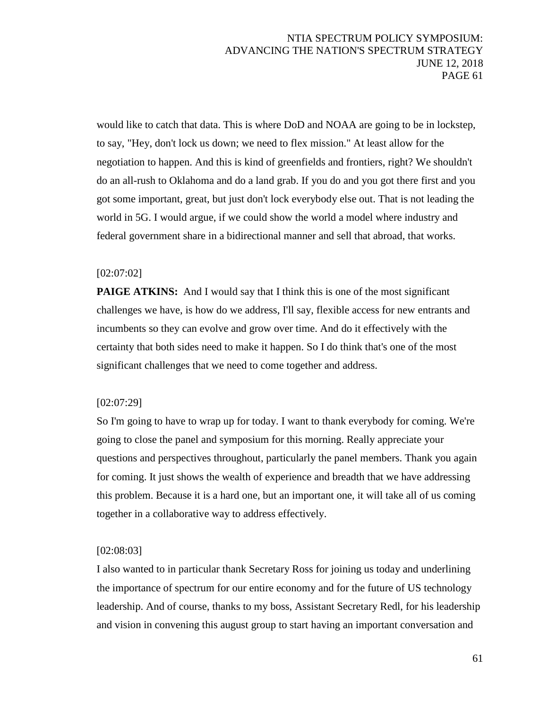would like to catch that data. This is where DoD and NOAA are going to be in lockstep, to say, "Hey, don't lock us down; we need to flex mission." At least allow for the negotiation to happen. And this is kind of greenfields and frontiers, right? We shouldn't do an all-rush to Oklahoma and do a land grab. If you do and you got there first and you got some important, great, but just don't lock everybody else out. That is not leading the world in 5G. I would argue, if we could show the world a model where industry and federal government share in a bidirectional manner and sell that abroad, that works.

### [02:07:02]

**PAIGE ATKINS:** And I would say that I think this is one of the most significant challenges we have, is how do we address, I'll say, flexible access for new entrants and incumbents so they can evolve and grow over time. And do it effectively with the certainty that both sides need to make it happen. So I do think that's one of the most significant challenges that we need to come together and address.

### [02:07:29]

So I'm going to have to wrap up for today. I want to thank everybody for coming. We're going to close the panel and symposium for this morning. Really appreciate your questions and perspectives throughout, particularly the panel members. Thank you again for coming. It just shows the wealth of experience and breadth that we have addressing this problem. Because it is a hard one, but an important one, it will take all of us coming together in a collaborative way to address effectively.

### [02:08:03]

I also wanted to in particular thank Secretary Ross for joining us today and underlining the importance of spectrum for our entire economy and for the future of US technology leadership. And of course, thanks to my boss, Assistant Secretary Redl, for his leadership and vision in convening this august group to start having an important conversation and